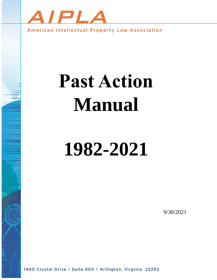

American Intellectual Property Law Association

# **Past Action Manual**

# **1982-2021**

9/30/2021

1400 Crystal Drive . Suite 600 . Arlington, Virginia 22202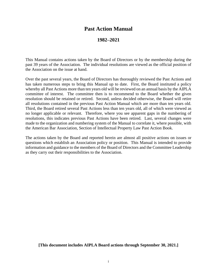# **Past Action Manual**

# **1982–2021**

This Manual contains actions taken by the Board of Directors or by the membership during the past 39 years of the Association. The individual resolutions are viewed as the official position of the Association on the issue at hand.

Over the past several years, the Board of Directors has thoroughly reviewed the Past Actions and has taken numerous steps to bring this Manual up to date. First, the Board instituted a policy whereby all Past Actions more than ten years old will be reviewed on an annual basis by the AIPLA committee of interest. The committee then is to recommend to the Board whether the given resolution should be retained or retired. Second, unless decided otherwise, the Board will retire all resolutions contained in the previous Past Action Manual which are more than ten years old. Third, the Board retired several Past Actions less than ten years old, all of which were viewed as no longer applicable or relevant. Therefore, where you see apparent gaps in the numbering of resolutions, this indicates previous Past Actions have been retired. Last, several changes were made to the organization and numbering system of the Manual to correlate it, where possible, with the American Bar Association, Section of Intellectual Property Law Past Action Book.

The actions taken by the Board and reported herein are almost all positive actions on issues or questions which establish an Association policy or position. This Manual is intended to provide information and guidance to the members of the Board of Directors and the Committee Leadership as they carry out their responsibilities to the Association.

**[This document includes AIPLA Board actions through September 30, 2021.]**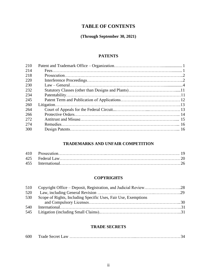# **TABLE OF CONTENTS**

# **(Through September 30, 2021)**

# **PATENTS**

# **TRADEMARKS AND UNFAIR COMPETITION**

# **COPYRIGHTS**

| 510 |                                                                |  |
|-----|----------------------------------------------------------------|--|
| 520 |                                                                |  |
| 530 | Scope of Rights, Including Specific Uses, Fair Use, Exemptions |  |
|     |                                                                |  |
| 540 |                                                                |  |
| 545 |                                                                |  |

# **TRADE SECRETS**

| 600 |  |  |
|-----|--|--|
|-----|--|--|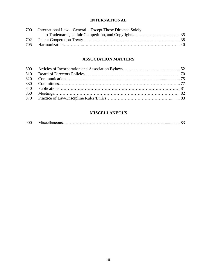# **INTERNATIONAL**

| 700 | International Law – General – Except Those Directed Solely |  |
|-----|------------------------------------------------------------|--|
|     |                                                            |  |
| 702 |                                                            |  |
|     |                                                            |  |

# **ASSOCIATION MATTERS**

# **MISCELLANEOUS**

| 900 |  |  |  |
|-----|--|--|--|
|-----|--|--|--|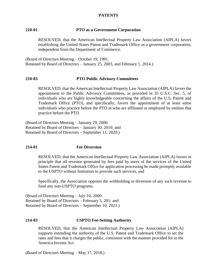#### **PATENTS**

#### **210-01 PTO as a Government Corporation**

RESOLVED, that the American Intellectual Property Law Association (AIPLA) favors establishing the United States Patent and Trademark Office as a government corporation, independent from the Department of Commerce.

(Board of Directors Meeting – October 19, 1991. Retained by Board of Directors – January 25, 2003, and February 1, 2014.)

#### **210-03 PTO Public Advisory Committees**

RESOLVED, that the American Intellectual Property Law Association (AIPLA) favors the appointment to the Public Advisory Committees, as provided in 35 U.S.C. Sec. 5, of individuals who are highly knowledgeable concerning the affairs of the U.S. Patent and Trademark Office (PTO), and specifically, favors the appointment of at least some individuals who practice before the PTO or who are affiliated or employed by entities that practice before the PTO.

(Board of Directors Meeting – January 29, 2000. Retained by Board of Directors – January 30, 2010; and Retained by Board of Directors – September 11, 2020.)

#### **214-01 Fee Diversion**

RESOLVED, that the American Intellectual Property Law Association (AIPLA) favors in principle that all revenue generated by fees paid by users of the services of the United States Patent and Trademark Office for application processing be made promptly available to the USPTO without limitation to provide such services, and

Specifically, the Association opposes the withholding or diversion of any such revenue to fund any non-USPTO programs.

(Board of Directors Meeting – July 10, 2000: Retained by Board of Directors – February 5, 201; and Retained by Board of Directors – September 10, 2021.)

#### **214-03 USPTO Fee-Setting Authority**

RESOLVED, that the American Intellectual Property Law Association (AIPLA) supports extending the authority of the U.S. Patent and Trademark Office to set the rates and fees that it charges the public, consistent with the manner provided for in the America Invents Act.

(Board of Directors Meeting – May 17, 2018.)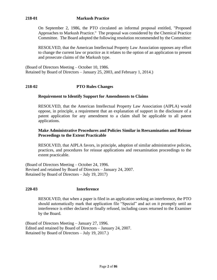# **218-01 Markush Practice**

On September 2, 1986, the PTO circulated an informal proposal entitled, "Proposed Approaches to Markush Practice." The proposal was considered by the Chemical Practice Committee. The Board adopted the following resolution recommended by the Committee:

RESOLVED, that the American Intellectual Property Law Association opposes any effort to change the current law or practice as it relates to the option of an application to present and prosecute claims of the Markush type.

(Board of Directors Meeting – October 10, 1986. Retained by Board of Directors – January 25, 2003, and February 1, 2014.)

# **218-02 PTO Rules Changes**

#### **Requirement to Identify Support for Amendments to Claims**

RESOLVED, that the American Intellectual Property Law Association (AIPLA) would oppose, in principle, a requirement that an explanation of support in the disclosure of a patent application for any amendment to a claim shall be applicable to all patent applications.

#### **Make Administrative Procedures and Policies Similar in Reexamination and Reissue Proceedings to the Extent Practicable**

RESOLVED, that AIPLA favors, in principle, adoption of similar administrative policies, practices, and procedures for reissue applications and reexamination proceedings to the extent practicable.

(Board of Directors Meeting – October 24, 1996. Revised and retained by Board of Directors – January 24, 2007. Retained by Board of Directors – July 19, 2017)

#### **220-03 Interference**

RESOLVED, that when a paper is filed in an application seeking an interference, the PTO should automatically mark that application file "Special" and act on it promptly until an interference is either declared or finally refused, including cases returned to the Examiner by the Board.

(Board of Directors Meeting – January 27, 1996. Edited and retained by Board of Directors – January 24, 2007. Retained by Board of Directors – July 19, 2017.)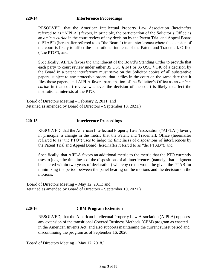## **220-14 Interference Proceedings**

RESOLVED, that the American Intellectual Property Law Association (hereinafter referred to as "AIPLA") favors, in principle, the participation of the Solicitor's Office as an *amicus curiae* in the court review of any decision by the Patent Trial and Appeal Board ("PTAB") (hereinafter referred to as "the Board") in an interference where the decision of the court is likely to affect the institutional interests of the Patent and Trademark Office ("the PTO"); and

Specifically, AIPLA favors the amendment of the Board's Standing Order to provide that each party to court review under either 35 USC § 141 or 35 USC § 146 of a decision by the Board in a patent interference must serve on the Solicitor copies of all substantive papers, subject to any protective orders, that it files in the court on the same date that it files those papers, and AIPLA favors participation of the Solicitor's Office as an *amicus curiae* in that court review whenever the decision of the court is likely to affect the institutional interests of the PTO.

(Board of Directors Meeting – February 2, 2011; and Retained as amended by Board of Directors – September 10, 2021.)

# **220-15 Interference Proceedings**

RESOLVED, that the American Intellectual Property Law Association ("AIPLA") favors, in principle, a change in the metric that the Patent and Trademark Office (hereinafter referred to as "the PTO") uses to judge the timeliness of dispositions of interferences by the Patent Trial and Appeal Board (hereinafter referred to as "the PTAB"); and

Specifically, that AIPLA favors an additional metric to the metric that the PTO currently uses to judge the timeliness of the dispositions of all interferences (namely, that judgment be entered within two years of declaration) whereby credit would be given the PTAB for minimizing the period between the panel hearing on the motions and the decision on the motions.

(Board of Directors Meeting – May 12, 2011; and Retained as amended by Board of Directors – September 10, 2021.)

# **220-16 CBM Program Extension**

RESOLVED, that the American Intellectual Property Law Association (AIPLA) opposes any extension of the transitional Covered Business Methods (CBM) program as enacted in the American Invents Act, and also supports maintaining the current sunset period and discontinuing the program as of September 16, 2020.

(Board of Directors Meeting – May 17, 2018.)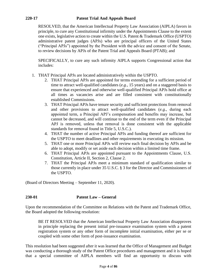# **220-17 Patent Trial And Appeals Board**

RESOLVED, that the American Intellectual Property Law Association (AIPLA) favors in principle, to cure any Constitutional infirmity under the Appointments Clause to the extent one exists, legislative action to create within the U.S. Patent & Trademark Office (USPTO) administrative patent judges (APJs) who are principal officers of the United States ("Principal APJs") appointed by the President with the advice and consent of the Senate, to review decisions by APJs of the Patent Trial and Appeals Board (PTAB); and

SPECIFICALLY, to cure any such infirmity AIPLA supports Congressional action that includes:

- 1. THAT Principal APJs are located administratively within the USPTO.
	- 2. THAT Principal APJs are appointed for terms extending for a sufficient period of time to attract well-qualified candidates (*e.g.*, 15 years) and on a staggered basis to ensure that experienced and otherwise well-qualified Principal APJs hold office at all times as vacancies arise and are filled consistent with constitutionally established Commissions.
	- 3. THAT Principal APJs have tenure security and sufficient protections from removal and other provisions to attract well-qualified candidates (*e.g.*, during each appointed term, a Principal APJ's compensation and benefits may increase, but cannot be decreased, and will continue to the end of the term even if the Principal APJ is removed, unless that removal is done consistent with the applicable standards for removal found in Title 5, U.S.C.).
	- 4. THAT the number of active Principal APJs and funding thereof are sufficient for the USPTO to meet deadlines and other requirements in executing its mission.
	- 5. THAT one or more Principal APJs will review each final decision by APJs and be able to adopt, modify or set aside each decision within a limited time frame.
	- 6. THAT Principal APJs are appointed pursuant to the Appointments Clause, U.S. Constitution, Article II, Section 2, Clause 2.
	- 7. THAT the Principal APJs meet a minimum standard of qualification similar to those currently in place under 35 U.S.C. § 3 for the Director and Commissioners of the USPTO.

(Board of Directors Meeting – September 11, 2020).

# **230-01 Patent Law – General**

Upon the recommendation of the Committee on Relations with the Patent and Trademark Office, the Board adopted the following resolution:

BE IT RESOLVED that the American Intellectual Property Law Association disapproves in principle replacing the present initial pre-issuance examination system with a patent registration system or any other form of incomplete initial examination, either per se or coupled with some other form of post-issuance examination.

This resolution had been suggested after it was learned that the Office of Management and Budget was conducting a thorough study of the Patent Office procedures and management and it is hoped that a special committee of AIPLA members will find an opportunity to discuss with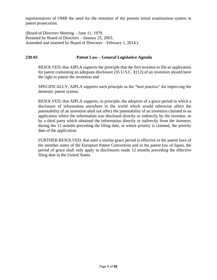representatives of OMB the need for the retention of the present initial examination system in patent prosecution.

(Board of Directors Meeting – June 11, 1979. Retained by Board of Directors – January 25, 2003. Amended and retained by Board of Directors – February 1, 2014.)

#### **230-03 Patent Law – General Legislative Agenda**

RESOLVED, that AIPLA supports the principle that the first inventor to file an application for patent containing an adequate disclosure (35 U.S.C. §112) of an invention should have the right to patent the invention and

SPECIFICALLY, AIPLA supports such principle as the "best practice" for improving the domestic patent system.

RESOLVED, that AIPLA supports, in principle, the adoption of a grace period in which a disclosure of information anywhere in the world which would otherwise affect the patentability of an invention shall not affect the patentability of an invention claimed in an application where the information was disclosed directly or indirectly by the inventor, or by a third party which obtained the information directly or indirectly from the inventor, during the 12 months preceding the filing date, or where priority is claimed, the priority date of the application.

FURTHER RESOLVED, that until a similar grace period is effective in the patent laws of the member states of the European Patent Convention and in the patent law of Japan, the period of grace shall only apply to disclosures made 12 months preceding the effective filing date in the United States.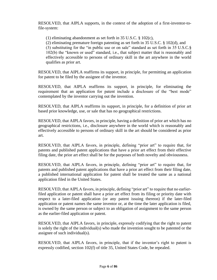RESOLVED, that AIPLA supports, in the context of the adoption of a first-inventor-tofile-system:

(1) eliminating abandonment as set forth in 35 U.S.C. § 102(c),

(2) eliminating premature foreign patenting as set forth in 35 U.S.C. § 102(d), and

(3) substituting for the "in public use or on sale" standard as set forth in 35 U.S.C.§ 102(b) the "known or used" standard, i.e., that subject matter that is reasonably and effectively accessible to persons of ordinary skill in the art anywhere in the world qualifies as prior art.

RESOLVED, that AIPLA reaffirms its support, in principle, for permitting an application for patent to be filed by the assignee of the inventor.

RESOLVED, that AIPLA reaffirms its support, in principle, for eliminating the requirement that an application for patent include a disclosure of the "best mode" contemplated by the inventor carrying out the invention.

RESOLVED, that AIPLA reaffirms its support, in principle, for a definition of prior art based prior knowledge, use, or sale that has no geographical restrictions.

RESOLVED, that AIPLA favors, in principle, having a definition of prior art which has no geographical restrictions, i.e., disclosure anywhere in the world which is reasonably and effectively accessible to persons of ordinary skill in the art should be considered as prior art.

RESOLVED, that AIPLA favors, in principle, defining "prior art" to require that, for patents and published patent applications that have a prior art effect from their effective filing date, the prior art effect shall be for the purposes of both novelty and obviousness.

RESOLVED, that AIPLA favors, in principle, defining "prior art" to require that, for patents and published patent applications that have a prior art effect from their filing date, a published international application for patent shall be treated the same as a national application filed in the United States.

RESOLVED, that AIPLA favors, in principle, defining "prior art" to require that no earlierfiled application or patent shall have a prior art effect from its filing or priority date with respect to a later-filed application (or any patent issuing thereon) if the later-filed application or patent names the same inventor or, at the time the later application is filed, is owned by the same person or subject to an obligation of assignment to the same person as the earlier-filed application or patent.

RESOLVED, that AIPLA favors, in principle, expressly codifying that the right to patent is solely the right of the individual(s) who made the invention sought to be patented or the assignee of such individual(s).

RESOLVED, that AIPLA favors, in principle, that if the inventor's right to patent is expressly codified, section 102(f) of title 35, United States Code, be repealed.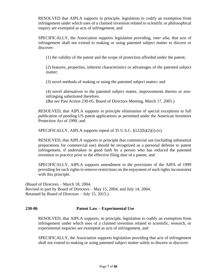RESOLVED that AIPLA supports in principle, legislation to codify an exemption from infringement under which uses of a claimed invention related to scientific or philosophical inquiry are exempted as acts of infringement, and

SPECIFICALLY, the Association supports legislation providing, *inter alia*, that acts of infringement shall not extend to making or using patented subject matter to discern or discover:

(1) the validity of the patent and the scope of protection afforded under the patent;

(2) features, properties, inherent characteristics or advantages of the patented subject matter;

(3) novel methods of making or using the patented subject matter; and

(4) novel alternatives to the patented subject matter, improvements thereto or noninfringing substituted therefore.

(*But see* Past Action 230-05, Board of Directors Meeting, March 17, 2005.)

RESOLVED, that AIPLA supports in principle elimination of special exceptions to full publication of pending US patent applications as permitted under the American Inventors Protection Act of 1999, and

SPECIFICALLY, AIPLA supports repeal of 35 U.S.C. §122(b)(2)(i)-(v).

RESOLVED, that AIPLA supports in principle that commercial use (including substantial preparations for commercial use) should be recognized as a personal defense to patent infringement, if undertaken in good faith by a person who has reduced the patented invention to practice prior to the effective filing date of a patent, and

SPECIFICALLY, AIPLA supports amendment to the provisions of the AIPA of 1999 providing for such rights to remove restrictions on the enjoyment of such rights inconsistent with this principle.

(Board of Directors – March 18, 2004. Revised in part by Board of Directors – May 15, 2004, and July 14, 2004. Retained by Board of Directors – July 15, 2015.)

# **230-06 Patent Law – Experimental Use**

RESOLVED, that AIPLA supports, in principle, legislation to codify an exemption from infringement under which uses of a claimed invention related to scientific, research, or experimental inquiries are exempted as acts of infringement, and

SPECIFICALLY, the Association supports legislation providing that acts of infringement shall not extend to making or using patented subject matter solely to discern or discover: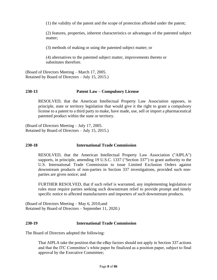(1) the validity of the patent and the scope of protection afforded under the patent;

(2) features, properties, inherent characteristics or advantages of the patented subject matter;

(3) methods of making or using the patented subject matter; or

(4) alternatives to the patented subject matter, improvements thereto or substitutes therefore.

(Board of Directors Meeting – March 17, 2005. Retained by Board of Directors – July 15, 2015.)

# **230-13 Patent Law – Compulsory License**

RESOLVED, that the American Intellectual Property Law Association opposes, in principle, state or territory legislation that would give it the right to grant a compulsory license to a patent to a third party to make, have made, use, sell or import a pharmaceutical patented product within the state or territory.

(Board of Directors Meeting – July 17, 2005. Retained by Board of Directors – July 15, 2015.)

#### **230-18 International Trade Commission**

RESOLVED, that the American Intellectual Property Law Association ("AIPLA") supports, in principle, amending 19 U.S.C. 1337 ("Section 337") to grant authority to the U.S. International Trade Commission to issue Limited Exclusion Orders against downstream products of non-parties in Section 337 investigations, provided such nonparties are given notice; and

FURTHER RESOLVED, that if such relief is warranted, any implementing legislation or rules must require parties seeking such downstream relief to provide prompt and timely specific notice to affected manufacturers and importers of such downstream products.

(Board of Directors Meeting – May 6, 2010;and Retained by Board of Directors – September 11, 2020.)

#### **230-19 International Trade Commission**

The Board of Directors adopted the following:

That AIPLA take the position that the *eBay* factors should not apply in Section 337 actions and that the ITC Committee's white paper be finalized as a position paper, subject to final approval by the Executive Committee;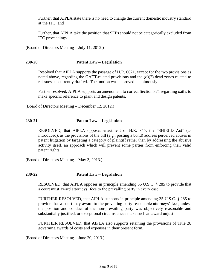Further, that AIPLA state there is no need to change the current domestic industry standard at the ITC; and

Further, that AIPLA take the position that SEPs should not be categorically excluded from ITC proceedings.

(Board of Directors Meeting – July 11, 2012.)

## **230-20 Patent Law – Legislation**

Resolved that AIPLA supports the passage of H.R. 6621, except for the two provisions as noted above, regarding the GATT-related provisions and the (d)(2) dead zones related to reissues, as currently drafted. The motion was approved unanimously.

Further resolved, AIPLA supports an amendment to correct Section 371 regarding oaths to make specific reference to plant and design patents.

(Board of Directors Meeting – December 12, 2012.)

## **230-21 Patent Law – Legislation**

RESOLVED**,** that AIPLA opposes enactment of H.R. 845, the "SHIELD Act" (as introduced), as the provisions of the bill (e.g., posting a bond) address perceived abuses in patent litigation by targeting a category of plaintiff rather than by addressing the abusive activity itself, an approach which will prevent some parties from enforcing their valid patent rights.

(Board of Directors Meeting – May 3, 2013.)

# **230-22 Patent Law – Legislation**

RESOLVED, that AIPLA opposes in principle amending 35 U.S.C. § 285 to provide that a court must award attorneys' fees to the prevailing party in every case.

FURTHER RESOLVED, that AIPLA supports in principle amending 35 U.S.C. § 285 to provide that a court may award to the prevailing party reasonable attorneys' fees, unless the position and conduct of the non-prevailing party was objectively reasonable and substantially justified, or exceptional circumstances make such an award unjust.

FURTHER RESOLVED, that AIPLA also supports retaining the provisions of Title 28 governing awards of costs and expenses in their present form.

(Board of Directors Meeting – June 20, 2013.)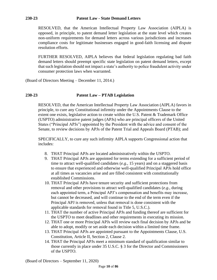RESOLVED, that the American Intellectual Property Law Association (AIPLA) is opposed, in principle, to patent demand letter legislation at the state level which creates non-uniform requirements for demand letters across various jurisdictions and increases compliance costs for legitimate businesses engaged in good-faith licensing and dispute resolution efforts.

FURTHER RESOLVED*,* AIPLA believes that federal legislation regulating bad faith demand letters should preempt specific state legislation on patent demand letters, except that such legislation should not impact a state's authority to police fraudulent activity under consumer protection laws when warranted.

(Board of Directors Meeting – December 11, 2014.)

## **230-23 Patent Law – PTAB Legislation**

RESOLVED, that the American Intellectual Property Law Association (AIPLA) favors in principle, to cure any Constitutional infirmity under the Appointments Clause to the extent one exists, legislative action to create within the U.S. Patent & Trademark Office (USPTO) administrative patent judges (APJs) who are principal officers of the United States ("Principal APJs") appointed by the President with the advice and consent of the Senate, to review decisions by APJs of the Patent Trial and Appeals Board (PTAB); and

SPECIFICALLY, to cure any such infirmity AIPLA supports Congressional action that includes:

- 8. THAT Principal APJs are located administratively within the USPTO.
- 9. THAT Principal APJs are appointed for terms extending for a sufficient period of time to attract well-qualified candidates (*e.g.*, 15 years) and on a staggered basis to ensure that experienced and otherwise well-qualified Principal APJs hold office at all times as vacancies arise and are filled consistent with constitutionally established Commissions.
- 10. THAT Principal APJs have tenure security and sufficient protections from removal and other provisions to attract well-qualified candidates (*e.g.*, during each appointed term, a Principal APJ's compensation and benefits may increase, but cannot be decreased, and will continue to the end of the term even if the Principal APJ is removed, unless that removal is done consistent with the applicable standards for removal found in Title 5, U.S.C.).
- 11. THAT the number of active Principal APJs and funding thereof are sufficient for the USPTO to meet deadlines and other requirements in executing its mission.
- 12. THAT one or more Principal APJs will review each final decision by APJs and be able to adopt, modify or set aside each decision within a limited time frame.
- 13. THAT Principal APJs are appointed pursuant to the Appointments Clause, U.S. Constitution, Article II, Section 2, Clause 2.
- 14. THAT the Principal APJs meet a minimum standard of qualification similar to those currently in place under 35 U.S.C. § 3 for the Director and Commissioners of the USPTO.

(Board of Directors – September 11, 2020)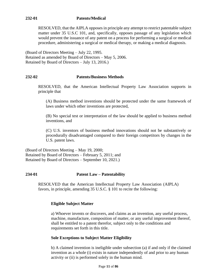RESOLVED, that the AIPLA opposes in principle any attempt to restrict patentable subject matter under 35 U.S.C 101, and, specifically, opposes passage of any legislation which would prevent the issuance of any patent on a process for performing a surgical or medical procedure, administering a surgical or medical therapy, or making a medical diagnosis.

(Board of Directors Meeting – July 22, 1995. Retained as amended by Board of Directors – May 5, 2006. Retained by Board of Directors – July 13, 2016.)

# **232-02 Patents/Business Methods**

RESOLVED, that the American Intellectual Property Law Association supports in principle that

(A) Business method inventions should be protected under the same framework of laws under which other inventions are protected,

(B) No special test or interpretation of the law should be applied to business method inventions, and

(C) U.S. inventors of business method innovations should not be substantively or procedurally disadvantaged compared to their foreign competitors by changes in the U.S. patent laws.

(Board of Directors Meeting – May 19, 2000; Retained by Board of Directors – February 5, 2011; and Retained by Board of Directors – September 10, 2021.)

# **234-01 Patent Law – Patentability**

RESOLVED that the American Intellectual Property Law Association (AIPLA) favors, in principle, amending 35 U.S.C. § 101 to recite the following:

# **Eligible Subject Matter**

a) Whoever invents or discovers, and claims as an invention, any useful process, machine, manufacture, composition of matter, or any useful improvement thereof, shall be entitled to a patent therefor, subject only to the conditions and requirements set forth in this title.

# **Sole Exceptions to Subject Matter Eligibility**

b) A claimed invention is ineligible under subsection (a) if and only if the claimed invention as a whole (i) exists in nature independently of and prior to any human activity or (ii) is performed solely in the human mind.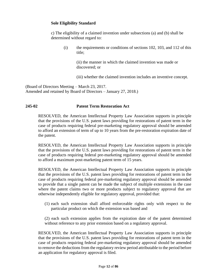# **Sole Eligibility Standard**

c) The eligibility of a claimed invention under subsections (a) and (b) shall be determined without regard to:

(i) the requirements or conditions of sections 102, 103, and 112 of this title;

> (ii) the manner in which the claimed invention was made or discovered; or

(iii) whether the claimed invention includes an inventive concept.

(Board of Directors Meeting – March 23, 2017. Amended and retained by Board of Directors – January 27, 2018.)

#### **245-02 Patent Term Restoration Act**

RESOLVED, the American Intellectual Property Law Association supports in principle that the provisions of the U.S. patent laws providing for restorations of patent term in the case of products requiring federal pre-marketing regulatory approval should be amended to afford an extension of term of up to 10 years from the pre-restoration expiration date of the patent.

RESOLVED, the American Intellectual Property Law Association supports in principle that the provisions of the U.S. patent laws providing for restorations of patent term in the case of products requiring federal pre-marketing regulatory approval should be amended to afford a maximum post-marketing patent term of 15 years.

RESOLVED, the American Intellectual Property Law Association supports in principle that the provisions of the U.S. patent laws providing for restorations of patent term in the case of products requiring federal pre-marketing regulatory approval should be amended to provide that a single patent can be made the subject of multiple extensions in the case where the patent claims two or more products subject to regulatory approval that are otherwise independently eligible for regulatory approval, provided that:

(1) each such extension shall afford enforceable rights only with respect to the particular product on which the extension was based and

(2) each such extension applies from the expiration date of the patent determined without reference to any prior extension based on a regulatory approval.

RESOLVED, the American Intellectual Property Law Association supports in principle that the provisions of the U.S. patent laws providing for restorations of patent term in the case of products requiring federal pre-marketing regulatory approval should be amended to remove the deductions from the regulatory review period attributable to the period before an application for regulatory approval is filed.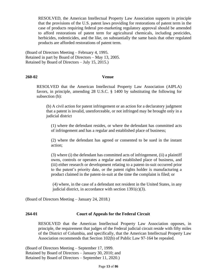RESOLVED, the American Intellectual Property Law Association supports in principle that the provisions of the U.S. patent laws providing for restorations of patent term in the case of products requiring federal pre-marketing regulatory approval should be amended to afford restorations of patent term for agricultural chemicals, including pesticides, herbicides, rodenticides, and the like, on substantially the same basis that other regulated products are afforded restorations of patent term.

(Board of Directors Meeting – February 4, 1995. Retained in part by Board of Directors – May 13, 2005. Retained by Board of Directors – July 15, 2015.)

#### **260-02 Venue**

RESOLVED that the American Intellectual Property Law Association (AIPLA) favors, in principle, amending 28 U.S.C. § 1400 by substituting the following for subsection (b):

(b) A civil action for patent infringement or an action for a declaratory judgment that a patent is invalid, unenforceable, or not infringed may be brought only in a judicial district

(1) where the defendant resides, or where the defendant has committed acts of infringement and has a regular and established place of business;

(2) where the defendant has agreed or consented to be sued in the instant action;

(3) where (i) the defendant has committed acts of infringement, (ii) a plaintiff owns, controls or operates a regular and established place of business, and (iii) either research or development relating to a patent-in-suit occurred prior to the patent's priority date, or the patent rights holder is manufacturing a product claimed in the patent-in-suit at the time the complaint is filed; or

(4) where, in the case of a defendant not resident in the United States, in any judicial district, in accordance with section  $1391(c)(3)$ .

(Board of Directors Meeting – January 24, 2018.)

# **264-01 Court of Appeals for the Federal Circuit**

RESOLVED that the American Intellectual Property Law Association opposes, in principle, the requirement that judges of the Federal judicial circuit reside with fifty miles of the District of Columbia, and specifically, that the American Intellectual Property Law Association recommends that Section 102(b) of Public Law 97-164 be repealed.

(Board of Directors Meeting – September 17, 1999. Retained by Board of Directors – January 30, 2010; and Retained by Board of Directors – September 11, 2020.)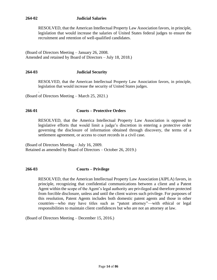# **264-02 Judicial Salaries**

RESOLVED, that the American Intellectual Property Law Association favors, in principle, legislation that would increase the salaries of United States federal judges to ensure the recruitment and retention of well-qualified candidates.

(Board of Directors Meeting – January 26, 2008. Amended and retained by Board of Directors – July 18, 2018.)

# **264-03 Judicial Security**

RESOLVED, that the American Intellectual Property Law Association favors, in principle, legislation that would increase the security of United States judges.

(Board of Directors Meeting – March 25, 2021.)

.

## **266-01 Courts – Protective Orders**

RESOLVED, that the America Intellectual Property Law Association is opposed to legislative efforts that would limit a judge's discretion in entering a protective order governing the disclosure of information obtained through discovery, the terms of a settlement agreement, or access to court records in a civil case.

(Board of Directors Meeting – July 16, 2009. Retained as amended by Board of Directors – October 26, 2019.)

# **266-03 Courts – Privilege**

RESOLVED, that the American Intellectual Property Law Association (AIPLA) favors, in principle, recognizing that confidential communications between a client and a Patent Agent within the scope of the Agent's legal authority are privileged and therefore protected from forcible disclosure, unless and until the client waives such privilege. For purposes of this resolution, Patent Agents includes both domestic patent agents and those in other countries—who may have titles such as "patent attorney"—with ethical or legal responsibilities to maintain client confidences but who are not an attorney at law.

(Board of Directors Meeting – December 15, 2016.)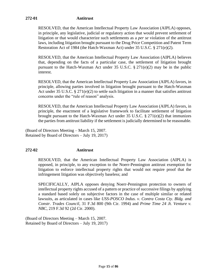# **272-01 Antitrust**

RESOLVED, that the American Intellectual Property Law Association (AIPLA) opposes, in principle, any legislative, judicial or regulatory action that would prevent settlement of litigation or that would characterize such settlements as a *per se* violation of the antitrust laws, including litigation brought pursuant to the Drug Price Competition and Patent Term Restoration Act of 1984 (the Hatch-Waxman Act) under 35 U.S.C. § 271(e)(2).

RESOLVED, that the American Intellectual Property Law Association (AIPLA) believes that, depending on the facts of a particular case, the settlement of litigation brought pursuant to the Hatch-Waxman Act under 35 U.S.C. § 271(e)(2) may be in the public interest.

RESOLVED, that the American Intellectual Property Law Association (AIPLA) favors, in principle, allowing parties involved in litigation brought pursuant to the Hatch-Waxman Act under 35 U.S.C. § 271(e)(2) to settle such litigation in a manner that satisfies antitrust concerns under the "rule of reason" analysis.

RESOLVED, that the American Intellectual Property Law Association (AIPLA) favors, in principle, the enactment of a legislative framework to facilitate settlement of litigation brought pursuant to the Hatch-Waxman Act under 35 U.S.C. § 271(e)(2) that immunizes the parties from antitrust liability if the settlement is judicially determined to be reasonable.

(Board of Directors Meeting – March 15, 2007. Retained by Board of Directors – July 19, 2017)

# **272-02 Antitrust**

RESOLVED, that the American Intellectual Property Law Association (AIPLA) is opposed, in principle, to any exception to the Noerr-Pennington antitrust exemption for litigation to enforce intellectual property rights that would not require proof that the infringement litigation was objectively baseless; and

SPECIFICALLY, AIPLA opposes denying Noerr-Pennington protection to owners of intellectual property rights accused of a pattern or practice of successive filings by applying a standard based solely on subjective factors in the case of multiple similar or related lawsuits, as articulated in cases like *USS-POSCO Indus. v. Contra Costa Cty. Bldg. and Constr. Trades Council*, 31 F.3d 800 (9th Cir. 1994) and *Prime Time 24 Jt. Venture v. NBC*, 219 F.3d 92 (2d Cir. 2000).

(Board of Directors Meeting – March 15, 2007. Retained by Board of Directors – July 19, 2017)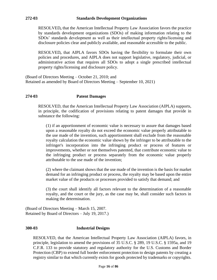RESOLVED**,** that the American Intellectual Property Law Association favors the practice by standards development organizations (SDOs) of making information relating to the SDOs' standards development as well as their intellectual property rights/licensing and disclosure policies clear and publicly available, and reasonable accessible to the public.

RESOLVED**,** that AIPLA favors SDOs having the flexibility to formulate their own policies and procedures, and AIPLA does not support legislative, regulatory, judicial, or administrative action that requires all SDOs to adopt a single prescribed intellectual property rights/licensing and disclosure policy.

(Board of Directors Meeting – October 21, 2010; and Retained as amended by Board of Directors Meeting – September 10, 2021)

## **274-03 Patent Damages**

RESOLVED, that the American Intellectual Property Law Association (AIPLA) supports, in principle, the codification of provisions relating to patent damages that provide in substance the following:

(1) if an apportionment of economic value is necessary to assure that damages based upon a reasonable royalty do not exceed the economic value properly attributable to the use made of the invention, such apportionment shall exclude from the reasonable royalty calculation the economic value shown by the infringer to be attributable to the infringer's incorporation into the infringing product or process of features or improvements, whether or not themselves patented, that contribute economic value to the infringing product or process separately from the economic value properly attributable to the use made of the invention;

(2) where the claimant shows that the use made of the invention is the basis for market demand for an infringing product or process, the royalty may be based upon the entire market value of the products or processes provided to satisfy that demand; and

(3) the court shall identify all factors relevant to the determination of a reasonable royalty, and the court or the jury, as the case may be, shall consider such factors in making the determination.

(Board of Directors Meeting – March 15, 2007. Retained by Board of Directors – July 19, 2017.)

#### **300-03 Industrial Designs**

RESOLVED, that the American Intellectual Property Law Association (AIPLA) favors, in principle, legislation to amend the provisions of 35 U.S.C. § 289, 19 U.S.C. § 1595a, and 19 C.F.R. 133 to provide statutory and regulatory authority for the U.S. Customs and Border Protection (CBP) to extend full border enforcement protection to design patents by creating a registry similar to that which currently exists for goods protected by trademarks or copyrights.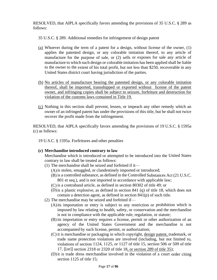RESOLVED, that AIPLA specifically favors amending the provisions of 35 U.S.C. § 289 as follows:

35 U.S.C. § 289. Additional remedies for infringement of design patent

- (a) Whoever during the term of a patent for a design, without license of the owner, (1) applies the patented design, or any colorable imitation thereof, to any article of manufacture for the purpose of sale, or (2) sells or exposes for sale any article of manufacture to which such design or colorable imitation has been applied shall be liable to the owner to the extent of his total profit, but not less than \$250, recoverable in any United States district court having jurisdiction of the parties.
- (b) No articles of manufacture bearing the patented design, or any colorable imitation thereof, shall be imported, transshipped or exported without license of the patent owner, and infringing copies shall be subject to seizure, forfeiture and destruction for violation of the customs laws contained in Title 19.
- (c) Nothing in this section shall prevent, lessen, or impeach any other remedy which an owner of an infringed patent has under the provisions of this title, but he shall not twice recover the profit made from the infringement.

RESOLVED, that AIPLA specifically favors amending the provisions of 19 U.S.C. § 1595a (c) as follows:

- 19 U.S.C. § 1595a. Forfeitures and other penalties
- **(c) Merchandise introduced contrary to law**

Merchandise which is introduced or attempted to be introduced into the United States contrary to law shall be treated as follows:

- (1) The merchandise shall be seized and forfeited if it—
	- (A)is stolen, smuggled, or clandestinely imported or introduced;
	- (B) is a controlled substance, as defined in the Controlled Substances Act (21 U.S.C. 801 et seq.), and is not imported in accordance with applicable law;
	- (C) is a contraband article, as defined in section 80302 of title 49; or
	- (D)is a plastic explosive, as defined in section 841 (q) of title 18, which does not contain a detection agent, as defined in section 841(p) of such title.
- (2) The merchandise may be seized and forfeited if—
	- (A)its importation or entry is subject to any restriction or prohibition which is imposed by law relating to health, safety, or conservation and the merchandise is not in compliance with the applicable rule, regulation, or statute;
	- (B) its importation or entry requires a license, permit or other authorization of an agency of the United States Government and the merchandise is not accompanied by such license, permit, or authorization;
	- (C) it is merchandise or packaging in which copyright, design patent, trademark, or trade name protection violations are involved (including, but not limited to, violations of section 1124, 1125, or 1127 of title 15, section 506 or 509 of title 17, [[or]] section 2318 or 2320 of title 18, or section 289 of title 35);
	- (D)it is trade dress merchandise involved in the violation of a court order citing section 1125 of title 15;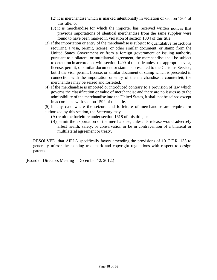- (E) it is merchandise which is marked intentionally in violation of section 1304 of this title; or
- (F) it is merchandise for which the importer has received written notices that previous importations of identical merchandise from the same supplier were found to have been marked in violation of section 1304 of this title.
- (3) If the importation or entry of the merchandise is subject to quantitative restrictions requiring a visa, permit, license, or other similar document, or stamp from the United States Government or from a foreign government or issuing authority pursuant to a bilateral or multilateral agreement, the merchandise shall be subject to detention in accordance with section 1499 of this title unless the appropriate visa, license, permit, or similar document or stamp is presented to the Customs Service; but if the visa, permit, license, or similar document or stamp which is presented in connection with the importation or entry of the merchandise is counterfeit, the merchandise may be seized and forfeited.
- (4) If the merchandise is imported or introduced contrary to a provision of law which governs the classification or value of merchandise and there are no issues as to the admissibility of the merchandise into the United States, it shall not be seized except in accordance with section 1592 of this title.

(5) In any case where the seizure and forfeiture of merchandise are required or authorized by this section, the Secretary may—

(A)remit the forfeiture under section 1618 of this title, or

(B) permit the exportation of the merchandise, unless its release would adversely affect health, safety, or conservation or be in contravention of a bilateral or multilateral agreement or treaty.

RESOLVED, that AIPLA specifically favors amending the provisions of 19 C.F.R. 133 to generally mirror the existing trademark and copyright regulations with respect to design patents.

(Board of Directors Meeting – December 12, 2012.)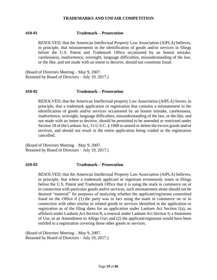#### **TRADEMARKS AND UNFAIR COMPETITION**

## **410-01 Trademark – Prosecution**

RESOLVED, that the American Intellectual Property Law Association (AIPLA) believes, in principle, that misstatements in the identification of goods and/or services in filings before the U.S. Patent and Trademark Office occasioned by an honest mistake, carelessness, inadvertence, oversight, language difficulties, misunderstanding of the law, or the like, and not made with an intent to deceive, should not constitute fraud.

(Board of Directors Meeting – May 9, 2007. Retained by Board of Directors – July 19, 2017.)

#### **410-02 Trademark – Prosecution**

RESOLVED, that the American Intellectual property Law Association (AIPLA) favors, in principle, that a trademark application or registration that contains a misstatement in the identification of goods and/or services occasioned by an honest mistake, carelessness, inadvertence, oversight, language difficulties, misunderstanding of the law, or the like, and not made with an intent to deceive, should be permitted to be amended or restricted under Section 18 of the Lanham Act, 15 U.S.C. § 1068 to amend or delete the excess goods and/or services, and should not result in the entire application being voided or the registration cancelled.

(Board of Directors Meeting – May 9, 2007. Retained by Board of Directors – July 19, 2017.)

#### **410-03 Trademark – Prosecution**

RESOLVED, that the American Intellectual Property Law Association (AIPLA) believes, in principle, that where a trademark applicant or registrant erroneously states in filings before the U.S. Patent and Trademark Office that it is using the mark in commerce on or in connection with particular goods and/or services, such misstatement alone should not be deemed "material" for purposes of analyzing whether the applicant/registrant committed fraud on the Office if (1) the party was in fact using the mark in commerce on or in connection with other similar or related goods or services identified in the application or registration as of the filing dates for an application under Lanham Act Section 1(a), an affidavit under Lanham Act Section 8, a renewal under Lanham Act Section 9, a Statement of Use, or an Amendment to Allege Use; and (2) the applicant/registrant would have been entitled to a registration covering those other goods or services.

(Board of Directors Meeting – May 9, 2007. Retained by Board of Directors – July 19, 2017.)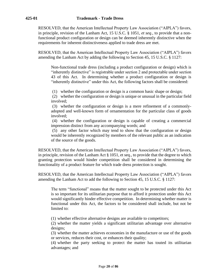RESOLVED, that the American Intellectual Property Law Association ("AIPLA") favors, in principle, revision of the Lanham Act, 15 U.S.C. § 1051, *et seq.*, to provide that a nonfunctional product configuration or design can be deemed inherently distinctive when the requirements for inherent distinctiveness applied to trade dress are met.

RESOLVED, that the American Intellectual Property Law Association ("AIPLA") favors amending the Lanham Act by adding the following to Section 45, 15 U.S.C. § 1127:

Non-functional trade dress (including a product configuration or design) which is "inherently distinctive" is registrable under section 2 and protectable under section 43 of this Act. In determining whether a product configuration or design is "inherently distinctive" under this Act, the following factors shall be considered:

(1) whether the configuration or design is a common basic shape or design;

(2) whether the configuration or design is unique or unusual in the particular field involved;

(3) whether the configuration or design is a mere refinement of a commonlyadopted and well-known form of ornamentation for the particular class of goods involved;

(4) whether the configuration or design is capable of creating a commercial impression distinct from any accompanying words; and

(5) any other factor which may tend to show that the configuration or design would be inherently recognized by members of the relevant public as an indication of the source of the goods.

RESOLVED, that the American Intellectual Property Law Association ("AIPLA") favors, in principle, revision of the Lanham Act § 1051, et seq., to provide that the degree to which granting protection would hinder competition shall be considered in determining the functionality of a product feature for which trade dress protection is sought.

RESOLVED, that the American Intellectual Property Law Association ("AIPLA") favors amending the Lanham Act to add the following to Section 45, 15 U.S.C. § 1127:

The term "functional" means that the matter sought to be protected under this Act is so important for its utilitarian purpose that to afford it protection under this Act would significantly hinder effective competition. In determining whether matter is functional under this Act, the factors to be considered shall include, but not be limited to:

(1) whether effective alternative designs are available to competitors;

(2) whether the matter yields a significant utilitarian advantage over alternative designs;

(3) whether the matter achieves economies in the manufacture or use of the goods or services, reduces their cost, or enhances their quality;

(4) whether the party seeking to protect the matter has touted its utilitarian advantages; and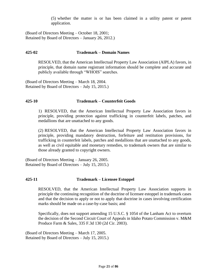(5) whether the matter is or has been claimed in a utility patent or patent application.

(Board of Directors Meeting – October 18, 2001; Retained by Board of Directors – January 26, 2012.)

#### **425-02 Trademark – Domain Names**

RESOLVED, that the American Intellectual Property Law Association (AIPLA) favors, in principle, that domain name registrant information should be complete and accurate and publicly available through "WHOIS" searches.

(Board of Directors Meeting – March 18, 2004. Retained by Board of Directors – July 15, 2015.)

## **425-10 Trademark – Counterfeit Goods**

1) RESOLVED, that the American Intellectual Property Law Association favors in principle, providing protection against trafficking in counterfeit labels, patches, and medallions that are unattached to any goods.

(2) RESOLVED, that the American Intellectual Property Law Association favors in principle, providing mandatory destruction, forfeiture and restitution provisions, for trafficking in counterfeit labels, patches and medallions that are unattached to any goods, as well as civil equitable and monetary remedies, to trademark owners that are similar to those already granted to copyright owners.

(Board of Directors Meeting – January 26, 2005. Retained by Board of Directors – July 15, 2015.)

#### **425-11 Trademark – Licensee Estoppel**

RESOLVED, that the American Intellectual Property Law Association supports in principle the continuing recognition of the doctrine of licensee estoppel in trademark cases and that the decision to apply or not to apply that doctrine in cases involving certification marks should be made on a case-by-case basis; and

Specifically, does not support amending 15 U.S.C. § 1054 of the Lanham Act to overturn the decision of the Second Circuit Court of Appeals in Idaho Potato Commission v. M&M Produce Farm & Sales, 335 F.3d 130 (2d Cir. 2003).

(Board of Directors Meeting – March 17, 2005. Retained by Board of Directors – July 15, 2015.)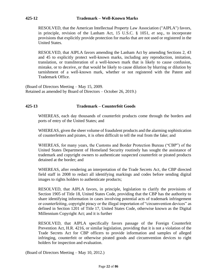RESOLVED, that the American Intellectual Property Law Association ("AIPLA") favors, in principle, revision of the Lanham Act, 15 U.S.C. § 1051, *et seq*., to incorporate provisions that explicitly provide protection for marks that are not used or registered in the United States.

RESOLVED, that AIPLA favors amending the Lanham Act by amending Sections 2, 43 and 45 to explicitly protect well-known marks, including any reproduction, imitation, translation, or transliteration of a well-known mark that is likely to cause confusion, mistake, or to deceive, or that would be likely to cause dilution by blurring or dilution by tarnishment of a well-known mark, whether or not registered with the Patent and Trademark Office.

(Board of Directors Meeting – May 15, 2009. Retained as amended by Board of Directors – October 26, 2019.)

# **425-13 Trademark – Counterfeit Goods**

WHEREAS, each day thousands of counterfeit products come through the borders and ports of entry of the United States; and

WHEREAS, given the sheer volume of fraudulent products and the alarming sophistication of counterfeiters and pirates, it is often difficult to tell the real from the fake; and

WHEREAS, for many years, the Customs and Border Protection Bureau ("CBP") of the United States Department of Homeland Security routinely has sought the assistance of trademark and copyright owners to authenticate suspected counterfeit or pirated products detained at the border; and

WHEREAS, after rendering an interpretation of the Trade Secrets Act, the CBP directed field staff in 2008 to redact all identifying markings and codes before sending digital images to rights holders to authenticate products;

RESOLVED, that AIPLA favors, in principle, legislation to clarify the provisions of Section 1905 of Title 18, United States Code, providing that the CBP has the authority to share identifying information in cases involving potential acts of trademark infringement or counterfeiting, copyright piracy or the illegal importation of "circumvention devices" as defined in Section 1201 of Title 17, United States Code, otherwise known as the Digital Millennium Copyright Act; and it is further

RESOLVED, that AIPLA specifically favors passage of the Foreign Counterfeit Prevention Act, H.R. 4216, or similar legislation, providing that it is not a violation of the Trade Secrets Act for CBP officers to provide information and samples of alleged infringing, counterfeit or otherwise pirated goods and circumvention devices to right holders for inspection and evaluation.

(Board of Directors Meeting – May 10, 2012.)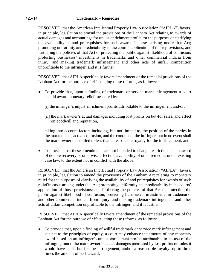RESOLVED, that the American Intellectual Property Law Association ("AIPLA") favors, in principle, legislation to amend the provisions of the Lanham Act relating to awards of actual damages and accountings for unjust enrichment profits for the purposes of clarifying the availability of and prerequisites for such awards in cases arising under that Act; promoting uniformity and predictability in the courts' application of those provisions; and furthering the policies of that Act of protecting the public against likelihood of confusion, protecting businesses' investments in trademarks and other commercial indicia from injury, and making trademark infringement and other acts of unfair competition unprofitable to the infringer; and it is further

RESOLVED, that AIPLA specifically favors amendment of the remedial provisions of the Lanham Act for the purpose of effectuating these reforms, as follows:

- To provide that, upon a finding of trademark or service mark infringement a court should award monetary relief measured by:
	- [i] the infringer's unjust enrichment profits attributable to the infringement and/or;
	- [ii] the mark owner's actual damages including lost profits on but-for sales, and effect on goodwill and reputation,

taking into account factors including, but not limited to, the position of the parties in the marketplace, actual confusion, and the conduct of the infringer, but in no event shall the mark owner be entitled to less than a reasonable royalty for the infringement; and

• To provide that these amendments are not intended to change restrictions on an award of double recovery or otherwise affect the availability of other remedies under existing case law, to the extent not in conflict with the above.

RESOLVED, that the American Intellectual Property Law Association ("AIPLA") favors, in principle, legislation to amend the provisions of the Lanham Act relating to monetary relief for the purposes of clarifying the availability of and prerequisites for awards of such relief in cases arising under that Act; promoting uniformity and predictability in the courts' application of those provisions; and furthering the policies of that Act of protecting the public against likelihood of confusion, protecting businesses' investments in trademarks and other commercial indicia from injury, and making trademark infringement and other acts of unfair competition unprofitable to the infringer; and it is further

RESOLVED, that AIPLA specifically favors amendment of the remedial provisions of the Lanham Act for the purpose of effectuating these reforms, as follows:

• To provide that, upon a finding of willful trademark or service mark infringement and subject to the principles of equity, a court may enhance the amount of any monetary award based on an infringer's unjust enrichment profits attributable to its use of the infringing mark, the mark owner's actual damages measured by lost profits on sales it would have made but for the infringement, and/or a reasonable royalty, up to three times the amount of such award;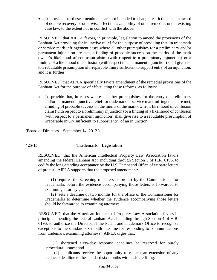• To provide that these amendments are not intended to change restrictions on an award of double recovery or otherwise affect the availability of other remedies under existing case law, to the extent not in conflict with the above.

RESOLVED, that AIPLA favors, in principle, legislation to amend the provisions of the Lanham Act providing for injunctive relief for the purpose of providing that, in trademark or service mark infringement cases where all other prerequisites for a preliminary and/or permanent injunction are met, a finding of probable success on the merits of the mark owner's likelihood of confusion claim (with respect to a preliminary injunction) or a finding of a likelihood of confusion (with respect to a permanent injunction) shall give rise to a rebuttable presumption of irreparable injury sufficient to support entry of an injunction; and it is further

RESOLVED, that AIPLA specifically favors amendment of the remedial provisions of the Lanham Act for the purpose of effectuating these reforms, as follows:

• To provide that, in cases where all other prerequisites for the entry of preliminary and/or permanent injunctive relief for trademark or service mark infringement are met, a finding of probable success on the merits of the mark owner's likelihood of confusion claim (with respect to a preliminary injunction) or a finding of a likelihood of confusion (with respect to a permanent injunction) shall give rise to a rebuttable presumption of irreparable injury sufficient to support entry of an injunction.

(Board of Directors – September 14, 2012.)

# **425-15 Trademark – Legislation**

RESOLVED, that the American Intellectual Property Law Association favors amending the federal Lanham Act, including through Section 3 of H.R. 6196, to codify the long-standing acceptance by the U.S. Patent and Office of ex parte letters of protest. AIPLA supports that the proposed amendment:

(1) requires the screening of letters of protest by the Commissioner for Trademarks before the evidence accompanying those letters is forwarded to examining attorneys; and

(2) sets a deadline of two months for the office of the Commissioner for Trademarks to determine whether the evidence accompanying those letters should be forwarded to examining attorneys.

RESOLVED, that the American Intellectual Property Law Association favors in principle amending the federal Lanham Act, including through Section 4 of H.R. 6196, to authorize the Director of the Patent and Trademark Office to recognize exceptions to the standard six-month deadline for responding to communications from trademark examining attorneys. AIPLA urges that:

(1) shortened sixty-day response deadlines be reserved for purely procedural issues; and

(2) applicants receive the opportunity to request an extension of any reduced deadline to the standard six months with a single filing.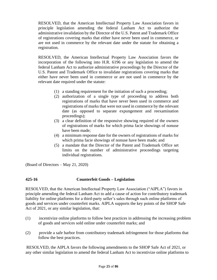RESOLVED, that the American Intellectual Property Law Association favors in principle legislation amending the federal Lanham Act to authorize the administrative invalidation by the Director of the U.S. Patent and Trademark Office of registrations covering marks that either have never been used in commerce, or are not used in commerce by the relevant date under the statute for obtaining a registration.

RESOLVED, the American Intellectual Property Law Association favors the incorporation of the following into H.R. 6196 or any legislation to amend the federal Lanham Act to authorize administrative proceedings by the Director of the U.S. Patent and Trademark Office to invalidate registrations covering marks that either have never been used in commerce or are not used in commerce by the relevant date required under the statute:

- (1) a standing requirement for the initiation of such a proceeding;
- (2) authorization of a single type of proceeding to address both registrations of marks that have never been used in commerce and registrations of marks that were not used in commerce by the relevant date (as opposed to separate expungement and reexamination proceedings);
- (3) a clear definition of the responsive showing required of the owners of registrations of marks for which prima facie showings of nonuse have been made;
- (4) a minimum response date for the owners of registrations of marks for which prima facie showings of nonuse have been made; and
- (5) a mandate that the Director of the Patent and Trademark Office set limits on the number of administrative proceedings targeting individual registrations.

(Board of Directors – May 21, 2020)

# **425-16 Counterfeit Goods – Legislation**

RESOLVED, that the American Intellectual Property Law Association ("AIPLA") favors in principle amending the federal Lanham Act to add a cause of action for contributory trademark liability for online platforms for a third-party seller's sales through such online platforms of goods and services under counterfeit marks. AIPLA supports the key points of the SHOP Safe Act of 2021, or any similar legislation, that:

- (1) incentivize online platforms to follow best practices in addressing the increasing problem of goods and services sold online under counterfeit marks; and
- (2) provide a safe harbor from contributory trademark infringement for those platforms that follow the best practices.

RESOLVED, the AIPLA favors the following amendments to the SHOP Safe Act of 2021, or any other similar legislation to amend the federal Lanham Act to incentivize online platforms to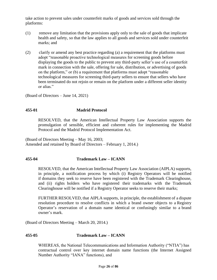take action to prevent sales under counterfeit marks of goods and services sold through the platforms:

- (1) remove any limitation that the provisions apply only to the sale of goods that implicate health and safety, so that the law applies to all goods and services sold under counterfeit marks; and
- (2) clarify or amend any best practice regarding (a) a requirement that the platforms must adopt "reasonable proactive technological measures for screening goods before displaying the goods to the public to prevent any third-party seller's use of a counterfeit mark in connection with the sale, offering for sale, distribution, or advertising of goods on the platform," or (b) a requirement that platforms must adopt "reasonable technological measures for screening third-party sellers to ensure that sellers who have been terminated do not rejoin or remain on the platform under a different seller identity or alias."

(Board of Directors – June 14, 2021)

#### **455-01 Madrid Protocol**

RESOLVED, that the American Intellectual Property Law Association supports the promulgation of sensible, efficient and coherent rules for implementing the Madrid Protocol and the Madrid Protocol Implementation Act.

(Board of Directors Meeting – May 16, 2003; Amended and retained by Board of Directors – February 1, 2014.)

#### **455-04 Trademark Law – ICANN**

RESOLVED, that the American Intellectual Property Law Association (AIPLA) supports, in principle, a notification process by which (i) Registry Operators will be notified if domains they seek to reserve have been registered with the Trademark Clearinghouse, and (ii) rights holders who have registered their trademarks with the Trademark Clearinghouse will be notified if a Registry Operator seeks to reserve their marks;

FURTHER RESOLVED, that AIPLA supports, in principle, the establishment of a dispute resolution procedure to resolve conflicts in which a brand owner objects to a Registry Operator's reservation of a domain name identical or confusingly similar to a brand owner's mark.

(Board of Directors Meeting – March 20, 2014.)

#### **455-05 Trademark Law – ICANN**

WHEREAS, the National Telecommunications and Information Authority ("NTIA") has contractual control over key internet domain name functions (the Internet Assigned Number Authority "IANA" functions), and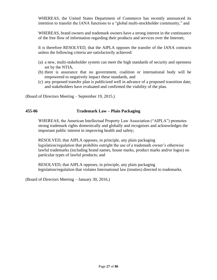WHEREAS, the United States Department of Commerce has recently announced its intention to transfer the IANA functions to a "global multi-stockholder community," and

WHEREAS, brand owners and trademark owners have a strong interest in the continuance of the free flow of information regarding their products and services over the Internet;

It is therefore RESOLVED, that the AIPLA opposes the transfer of the IANA contracts unless the following criteria are satisfactorily achieved:

- (a) a new, multi-stakeholder system can meet the high standards of security and openness set by the NTIA,
- (b) there is assurance that no government, coalition or international body will be empowered to negatively impact these standards, and
- (c) any proposed transfer plan is publicized well in advance of a proposed transition date, and stakeholders have evaluated and confirmed the viability of the plan.

(Board of Directors Meeting – September 19, 2015.)

## **455-06 Trademark Law – Plain Packaging**

WHEREAS, the American Intellectual Property Law Association ("AIPLA") promotes strong trademark rights domestically and globally and recognizes and acknowledges the important public interest in improving health and safety;

RESOLVED, that AIPLA opposes, in principle, any plain packaging legislation/regulation that prohibits outright the use of a trademark owner's otherwise lawful trademarks (including brand names, house marks, product marks and/or logos) on particular types of lawful products; and

RESOLVED, that AIPLA opposes, in principle, any plain packaging legislation/regulation that violates International law (treaties) directed to trademarks.

(Board of Directors Meeting – January 30, 2016.)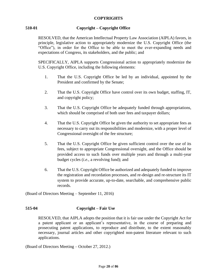## **COPYRIGHTS**

# **510-01 Copyright – Copyright Office**

RESOLVED, that the American Intellectual Property Law Association (AIPLA) favors, in principle, legislative action to appropriately modernize the U.S. Copyright Office (the "Office"), in order for the Office to be able to meet the ever-expanding needs and expectations of Congress, its stakeholders, and the public; and

SPECIFICALLY, AIPLA supports Congressional action to appropriately modernize the U.S. Copyright Office, including the following elements:

- 1. That the U.S. Copyright Office be led by an individual, appointed by the President and confirmed by the Senate;
- 2. That the U.S. Copyright Office have control over its own budget, staffing, IT, and copyright policy;
- 3. That the U.S. Copyright Office be adequately funded through appropriations, which should be comprised of both user fees and taxpayer dollars;
- 4. That the U.S. Copyright Office be given the authority to set appropriate fees as necessary to carry out its responsibilities and modernize, with a proper level of Congressional oversight of the fee structure;
- 5. That the U.S. Copyright Office be given sufficient control over the use of its fees, subject to appropriate Congressional oversight, and the Office should be provided access to such funds over multiple years and through a multi-year budget cycles (*i.e*., a revolving fund); and
- 6. That the U.S. Copyright Office be authorized and adequately funded to improve the registration and recordation processes, and re-design and re-structure its IT system to provide accurate, up-to-date, searchable, and comprehensive public records.

(Board of Directors Meeting – September 11, 2016)

# **515-04 Copyright – Fair Use**

RESOLVED, that AIPLA adopts the position that it is fair use under the Copyright Act for a patent applicant or an applicant's representative, in the course of preparing and prosecuting patent applications, to reproduce and distribute, to the extent reasonably necessary, journal articles and other copyrighted non-patent literature relevant to such applications.

(Board of Directors Meeting – October 27, 2012.)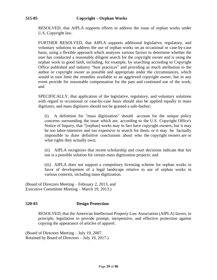RESOLVED, that AIPLA supports efforts to address the issue of orphan works under U.S. Copyright law.

FURTHER RESOLVED, that AIPLA supports additional legislative, regulatory, and voluntary solutions to address the use of orphan works on an occasional or case-by-case basis, using a flexible approach which analyzes various factors to determine whether the user has conducted a reasonably diligent search for the copyright owner and is using the orphan work in good faith, including, for example, by searching according to Copyright Office published and industry "best practices" and providing as much attribution to the author or copyright owner as possible and appropriate under the circumstances, which would in turn limit the remedies available to an aggrieved copyright owner, but in any event provide for reasonable compensation for the past and continued use of the work; and

SPECIFICALLY, that application of the legislative, regulatory, and voluntary solutions with regard to occasional or case-by-case basis should also be applied equally to mass digitizers, and mass digitizers should not be granted a safe-harbor;

(i) A definition for "mass digitization" should account for the unique policy concerns surrounding the issue which are, according to the U.S. Copyright Office's Notice of Inquiry, that "[orphan] works may in fact have copyright owners, but it may be too labor-intensive and too expensive to search for them, or it may be factually impossible to draw definitive conclusions about who the copyright owners are or what rights they actually own;

(ii) AIPLA recognizes that recent scholarship and court decisions indicate that fair use is a possible solution for certain mass digitization projects; and

(iii) AIPLA does not support a compulsory licensing scheme for orphan works in favor of development of a legal landscape relative to use of orphan works in various contexts, including mass digitization.

(Board of Directors Meeting – February 2, 2013, and Executive Committee Meeting – March 19, 2013.)

# **520-03 Design Protection**

RESOLVED, that the American Intellectual Property Law Association (AIPLA) favors, in principle, legislation to provide prompt, inexpensive, and effective protection against copying the appearance of articles of apparel.

(Board of Directors Meeting – July 19, 2007. Retained by Board of Directors – July 19, 2017.)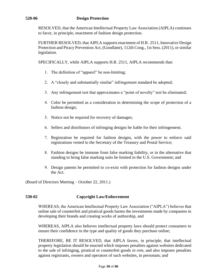RESOLVED, that the American Intellectual Property Law Association (AIPLA) continues to favor, in principle, enactment of fashion design protection.

FURTHER RESOLVED, that AIPLA supports enactment of H.R. 2511, Innovative Design Protection and Piracy Prevention Act, (Goodlatte), 112th Cong., 1st Sess. (2011), or similar legislation.

SPECIFICALLY, while AIPLA supports H.R. 2511, AIPLA recommends that:

- 1. The definition of "apparel" be non-limiting;
- 2. A "closely and substantially similar" infringement standard be adopted;
- Any infringement test that approximates a "point of novelty" test be eliminated;
- Color be permitted as a consideration in determining the scope of protection of a fashion design;
- 5. Notice not be required for recovery of damages;
- Sellers and distributors of infringing designs be liable for their infringement;
- Registration be required for fashion designs, with the power to enforce said registrations vested to the Secretary of the Treasury and Postal Service;
- Fashion designs be immune from false marking liability, or in the alternative that standing to bring false marking suits be limited to the U.S. Government; and
- Design patents be permitted to co-exist with protection for fashion designs under the Act.

(Board of Directors Meeting – October 22, 2011.)

# **530-02 Copyright Law/Enforcement**

WHEREAS, the American Intellectual Property Law Association ("AIPLA") believes that online sale of counterfeit and piratical goods harms the investments made by companies in developing their brands and creating works of authorship, and

WHEREAS, AIPLA also believes intellectual property laws should protect consumers to ensure their confidence in the type and quality of goods they purchase online;

THEREFORE, BE IT RESOLVED, that AIPLA favors, in principle, that intellectual property legislation should be enacted which imposes penalties against websites dedicated to the sale of infringing, piratical or counterfeit goods *in rem*, and also imposes penalties against registrants, owners and operators of such websites, in personam; and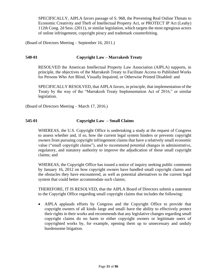SPECIFICALLY, AIPLA favors passage of S. 968, the Preventing Real Online Threats to Economic Creativity and Theft of Intellectual Property Act, or PROTECT IP Act (Leahy) 112th Cong. 2d Sess. (2011), or similar legislation, which targets the most egregious actors of online infringement, copyright piracy and trademark counterfeiting.

(Board of Directors Meeting – September 16, 2011.)

#### **540-01 Copyright Law – Marrakesh Treaty**

RESOLVED the American Intellectual Property Law Association (AIPLA) supports, in principle, the objectives of the Marrakesh Treaty to Facilitate Access to Published Works for Persons Who Are Blind, Visually Impaired, or Otherwise Printed Disabled: and

SPECIFICALLY RESOLVED, that AIPLA favors, in principle, that implementation of the Treaty by the way of the "Marrakesh Treaty Implementation Act of 2016," or similar legislation.

(Board of Directors Meeting – March 17, 2016.)

# **545-01 Copyright Law – Small Claims**

WHEREAS, the U.S. Copyright Office is undertaking a study at the request of Congress to assess whether and, if so, how the current legal system hinders or prevents copyright owners from pursuing copyright infringement claims that have a relatively small economic value ("small copyright claims"), and to recommend potential changes in administrative, regulatory, and statutory authority to improve the adjudication of these small copyright claims; and

WHEREAS, the Copyright Office has issued a notice of inquiry seeking public comments by January 16, 2012 on how copyright owners have handled small copyright claims and the obstacles they have encountered, as well as potential alternatives to the current legal system that could better accommodate such claims;

THEREFORE, IT IS RESOLVED, that the AIPLA Board of Directors submit a statement to the Copyright Office regarding small copyright claims that includes the following:

• AIPLA applauds efforts by Congress and the Copyright Office to provide that copyright owners of all kinds–large and small–have the ability to effectively protect their rights in their works and recommends that any legislative changes regarding small copyright claims do no harm to either copyright owners or legitimate users of copyrighted works by, for example, opening them up to unnecessary and unduly burdensome litigation.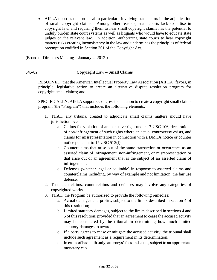• AIPLA opposes one proposal in particular: involving state courts in the adjudication of small copyright claims. Among other reasons, state courts lack expertise in copyright law, and requiring them to hear small copyright claims has the potential to unduly burden state court systems as well as litigants who would have to educate state judges on the relevant law. In addition, authorizing state courts to hear copyright matters risks creating inconsistency in the law and undermines the principles of federal preemption codified in Section 301 of the Copyright Act.

(Board of Directors Meeting – January 4, 2012.)

# **545-02 Copyright Law – Small Claims**

RESOLVED, that the American Intellectual Property Law Association (AIPLA) favors, in principle, legislative action to create an alternative dispute resolution program for copyright small claims; and

SPECIFICALLY, AIPLA supports Congressional action to create a copyright small claims program (the "Program") that includes the following elements:

- 1. THAT, any tribunal created to adjudicate small claims matters should have jurisdiction over
	- a. Claims for violation of an exclusive right under 17 USC 106, declarations of non-infringement of such rights where an actual controversy exists, and claims for misrepresentation in connection with a DMCA notice or counter notice pursuant to 17 USC 512(f);
	- b. Counterclaims that arise out of the same transaction or occurrence as an asserted claim of infringement, non-infringement, or misrepresentation or that arise out of an agreement that is the subject of an asserted claim of infringement;
	- c. Defenses (whether legal or equitable) in response to asserted claims and counterclaims including, by way of example and not limitation, the fair use defense.
- 2. That such claims, counterclaims and defenses may involve any categories of copyrighted works.
- 3. THAT, the Program be authorized to provide the following remedies:
	- a. Actual damages and profits, subject to the limits described in section 4 of this resolution;
	- b. Limited statutory damages, subject to the limits described in sections 4 and 5 of this resolution; provided that an agreement to cease the accused activity may be considered by the tribunal in determining how much limited statutory damages to award;
	- c. If a party agrees to cease or mitigate the accused activity, the tribunal shall include such agreement as a requirement in its determination;
	- d. In cases of bad faith only, attorneys' fees and costs, subject to an appropriate monetary cap.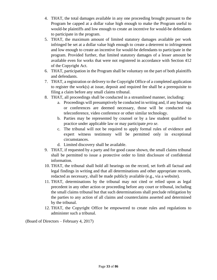- 4. THAT, the total damages available in any one proceeding brought pursuant to the Program be capped at a dollar value high enough to make the Program useful to would-be plaintiffs and low enough to create an incentive for would-be defendants to participate in the program.
- 5. THAT, the maximum amount of limited statutory damages available per work infringed be set at a dollar value high enough to create a deterrent to infringement and low enough to create an incentive for would-be defendants to participate in the program. Provided further, that limited statutory damages of a lesser amount be available even for works that were not registered in accordance with Section 412 of the Copyright Act.
- 6. THAT, participation in the Program shall be voluntary on the part of both plaintiffs and defendants.
- 7. THAT, a registration or delivery to the Copyright Office of a completed application to register the work(s) at issue, deposit and required fee shall be a prerequisite to filing a claim before any small claims tribunal.
- 8. THAT, all proceedings shall be conducted in a streamlined manner, including:
	- a. Proceedings will presumptively be conducted in writing and, if any hearings or conferences are deemed necessary, those will be conducted via teleconference, video conference or other similar technology.
	- b. Parties may be represented by counsel or by a law student qualified to practice under applicable law or may participate *pro se*.
	- c. The tribunal will not be required to apply formal rules of evidence and expert witness testimony will be permitted only in exceptional circumstances.
	- d. Limited discovery shall be available.
- 9. THAT, if requested by a party and for good cause shown, the small claims tribunal shall be permitted to issue a protective order to limit disclosure of confidential information.
- 10. THAT, the tribunal shall hold all hearings on the record, set forth all factual and legal findings in writing and that all determinations and other appropriate records, redacted as necessary, shall be made publicly available (e.g., via a website).
- 11. THAT, determinations by the tribunal may not cited or relied upon as legal precedent in any other action or proceeding before any court or tribunal, including the small claims tribunal but that such determinations shall preclude relitigation by the parties to any action of all claims and counterclaims asserted and determined by the tribunal.
- 12. THAT, the Copyright Office be empowered to create rules and regulations to administer such a tribunal.

(Board of Directors – February 4, 2017)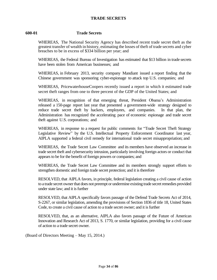## **TRADE SECRETS**

## **600-01 Trade Secrets**

WHEREAS, The National Security Agency has described recent trade secret theft as the greatest transfer of wealth in history, estimating the losses of theft of trade secrets and cyber breaches to be in excess of \$334 billion per year; and

WHEREAS, the Federal Bureau of Investigation has estimated that \$13 billion in trade secrets have been stolen from American businesses; and

WHEREAS, in February 2013, security company Mandiant issued a report finding that the Chinese government was sponsoring cyber-espionage to attack top U.S. companies; and

WHEREAS, PricewaterhouseCoopers recently issued a report in which it estimated trade secret theft ranges from one to three percent of the GDP of the United States; and

WHEREAS, in recognition of that emerging threat, President Obama's Administration released a 150-page report last year that presented a government-wide strategy designed to reduce trade secret theft by hackers, employees, and companies. In that plan, the Administration has recognized the accelerating pace of economic espionage and trade secret theft against U.S. corporations; and

WHEREAS, in response to a request for public comments for "Trade Secret Theft Strategy Legislative Review" by the U.S. Intellectual Property Enforcement Coordinator last year, AIPLA supported a federal civil remedy for international trade secret misappropriation; and

WHEREAS, the Trade Secret Law Committee and its members have observed an increase in trade secret theft and cybersecurity intrusion, particularly involving foreign actors or conduct that appears to be for the benefit of foreign powers or companies; and

WHEREAS, the Trade Secret Law Committee and its members strongly support efforts to strengthen domestic and foreign trade secret protection; and it is therefore

RESOLVED, that AIPLA favors, in principle, federal legislation creating a civil cause of action to a trade secret owner that does not preempt or undermine existing trade secret remedies provided under state law; and it is further

RESOLVED, that AIPLA specifically favors passage of the Defend Trade Secrets Act of 2014, S-2267, or similar legislation, amending the provisions of Section 1836 of title 18, United States Code, to create a civil cause of action to a trade secret owner; and it is further

RESOLVED, that, as an alternative, AIPLA also favors passage of the Future of American Innovation and Research Act of 2013, S. 1770, or similar legislation, providing for a civil cause of action to a trade secret owner.

(Board of Directors Meeting – May 15, 2014.)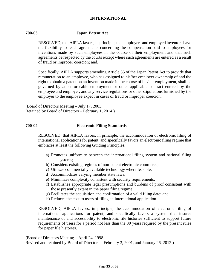## **INTERNATIONAL**

## **700-03 Japan Patent Act**

RESOLVED, that AIPLA favors, in principle, that employers and employed inventors have the flexibility to reach agreements concerning the compensation paid to employees for inventions made by such employees in the course of their employment and that such agreements be respected by the courts except where such agreements are entered as a result of fraud or improper coercion; and,

Specifically, AIPLA supports amending Article 35 of the Japan Patent Act to provide that remuneration to an employee, who has assigned to his/her employer ownership of and the right to obtain a patent on an invention made in the course of his/her employment, shall be governed by an enforceable employment or other applicable contract entered by the employee and employer, and any service regulations or other stipulations furnished by the employer to the employee expect in cases of fraud or improper coercion.

(Board of Directors Meeting – July 17, 2003; Retained by Board of Directors – February 1, 2014.)

## **700-04 Electronic Filing Standards**

RESOLVED, that AIPLA favors, in principle, the accommodation of electronic filing of international applications for patent, and specifically favors an electronic filing regime that embraces at least the following Guiding Principles:

- a) Promotes uniformity between the international filing system and national filing systems;
- b) Considers existing regimes of non-patent electronic commerce;
- c) Utilizes commercially available technology where feasible;
- d) Accommodates varying member state laws;
- e) Minimizes complexity consistent with security requirements;
- f) Establishes appropriate legal presumptions and burdens of proof consistent with those presently extant in the paper filing regime;
- g) Facilitates the acquisition and confirmation of a valid filing date; and
- h) Reduces the cost to users of filing an international application.

RESOLVED, AIPLA favors, in principle, the accommodation of electronic filing of international applications for patent, and specifically favors a system that insures maintenance of and accessibility to electronic file histories sufficient to support future requirements of users for a period not less than the 30 years required by the present rules for paper file histories.

(Board of Directors Meeting – April 24, 1998. Revised and retained by Board of Directors – February 3, 2001, and January 26, 2012.)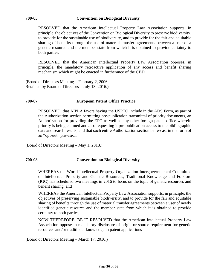#### **700-05 Convention on Biological Diversity**

RESOLVED that the American Intellectual Property Law Association supports, in principle, the objectives of the Convention on Biological Diversity to preserve biodiversity, to provide for the sustainable use of biodiversity, and to provide for the fair and equitable sharing of benefits through the use of material transfer agreements between a user of a genetic resource and the member state from which it is obtained to provide certainty to both parties.

RESOLVED that the American Intellectual Property Law Association opposes, in principle, the mandatory retroactive application of any access and benefit sharing mechanism which might be enacted in furtherance of the CBD.

(Board of Directors Meeting – February 2, 2006. Retained by Board of Directors – July 13, 2016.)

#### **700-07 European Patent Office Practice**

RESOLVED, that AIPLA favors having the USPTO include in the ADS Form, as part of the Authorization section permitting pre-publication transmittal of priority documents, an Authorization for providing the EPO as well as any other foreign patent office wherein priority is being claimed and also requesting it pre-publication access to the bibliographic data and search results, and that such entire Authorization section be re-cast in the form of an "opt-out" provision.

(Board of Directors Meeting – May 1, 2013.)

## **700-08 Convention on Biological Diversity**

WHEREAS the World Intellectual Property Organization Intergovernmental Committee on Intellectual Property and Genetic Resources, Traditional Knowledge and Folklore (IGC) has scheduled two meetings in 2016 to focus on the topic of genetic resources and benefit sharing, and

WHEREAS the American Intellectual Property Law Association supports, in principle, the objectives of preserving sustainable biodiversity, and to provide for the fair and equitable sharing of benefits through the use of material transfer agreements between a user of newly identified genetic resource and the member state from which it is obtained to provide certainty to both parties,

NOW THEREFORE, BE IT RESOLVED that the American Intellectual Property Law Association opposes a mandatory disclosure of origin or source requirement for genetic resources and/or traditional knowledge in patent applications

(Board of Directors Meeting – March 17, 2016.)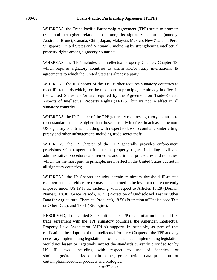WHEREAS, the Trans-Pacific Partnership Agreement (TPP) seeks to promote trade and strengthen relationships among its signatory countries (namely, Australia, Brunei, Canada, Chile, Japan, Malaysia, Mexico, New Zealand, Peru, Singapore, United States and Vietnam), including by strengthening intellectual property rights among signatory countries;

WHEREAS, the TPP includes an Intellectual Property Chapter, Chapter 18, which requires signatory countries to affirm and/or ratify international IP agreements to which the United States is already a party;

WHEREAS, the IP Chapter of the TPP further requires signatory countries to meet IP standards which, for the most part in principle, are already in effect in the United States and/or are required by the Agreement on Trade-Related Aspects of Intellectual Property Rights (TRIPS), but are not in effect in all signatory countries;

WHEREAS, the IP Chapter of the TPP generally requires signatory countries to meet standards that are higher than those currently in effect in at least some non-US signatory countries including with respect to laws to combat counterfeiting, piracy and other infringement, including trade secret theft;

WHEREAS, the IP Chapter of the TPP generally provides enforcement provisions with respect to intellectual property rights, including civil and administrative procedures and remedies and criminal procedures and remedies, which, for the most part in principle, are in effect in the United States but not in all signatory countries;

WHEREAS, the IP Chapter includes certain minimum threshold IP-related requirements that either are or may be construed to be less than those currently imposed under US IP laws, including with respect to Articles 18.28 (Domain Names), 18.38 (Grace Period), 18.47 (Protection of Undisclosed Test or Other Data for Agricultural Chemical Products), 18.50 (Protection of Undisclosed Test or Other Data), and 18.51 (Biologics);

RESOLVED, if the United States ratifies the TPP or a similar multi-lateral free trade agreement with the TPP signatory countries, the American Intellectual Property Law Association (AIPLA) supports in principle, as part of that ratification, the adoption of the Intellectual Property Chapter of the TPP and any necessary implementing legislation, provided that such implementing legislation would not lessen or negatively impact the standards currently provided for by US IP laws, including with respect to use of identical or similar signs/trademarks, domain names, grace period, data protection for certain pharmaceutical products and biologics.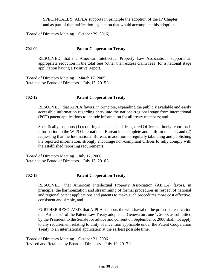SPECIFICALLY, AIPLA supports in principle the adoption of the IP Chapter, and as part of that ratification legislation that would accomplish this adoption.

(Board of Directors Meeting – October 29, 2016)

## **702-09 Patent Cooperation Treaty**

RESOLVED, that the American Intellectual Property Law Association supports an appropriate reduction in the total fees (other than excess claim fees) for a national stage application having a Positive Report.

(Board of Directors Meeting – March 17, 2005. Retained by Board of Directors – July 15, 2015.)

## **702-12 Patent Cooperation Treaty**

RESOLVED, that AIPLA favors, in principle, expanding the publicly available and easily accessible information regarding entry into the national/regional stage from international (PCT) patent applications to include information for all treaty members; and

Specifically, supports (1) requiring all elected and designated Offices to timely report such information to the WIPO International Bureau in a complete and uniform manner, and (2) requesting that the International Bureau, in addition to regularly tabulating and publishing the reported information, strongly encourage non-compliant Offices to fully comply with the established reporting requirements.

(Board of Directors Meeting – July 12, 2006. Retained by Board of Directors – July 13, 2016.)

## **702-13 Patent Cooperation Treaty**

RESOLVED, that American Intellectual Property Association (AIPLA) favors, in principle, the harmonization and streamlining of formal procedures in respect of national and regional patent applications and patents to make such procedures more cost effective, consistent and simple, and

FURTHER RESOLVED, that AIPLA supports the withdrawal of the proposed reservation that Article 6.1 of the Patent Law Treaty adopted at Geneva on June 1, 2000, as submitted by the President to the Senate for advice and consent on September 5, 2006 shall not apply to any requirement relating to unity of invention applicable under the Patent Cooperation Treaty to an international application at the earliest possible time.

(Board of Directors Meeting – October 21, 2006. Revised and Retained by Board of Directors – July 19, 2017.)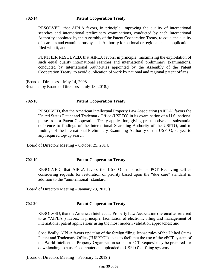## **702-14 Patent Cooperation Treaty**

RESOLVED, that AIPLA favors, in principle, improving the quality of international searches and international preliminary examinations, conducted by each International Authority appointed by the Assembly of the Patent Cooperation Treaty, to equal the quality of searches and examinations by such Authority for national or regional patent applications filed with it; and,

FURTHER RESOLVED, that AIPLA favors, in principle, maximizing the exploitation of such equal quality international searches and international preliminary examinations, conducted by International Authorities appointed by the Assembly of the Patent Cooperation Treaty, to avoid duplication of work by national and regional patent offices.

(Board of Directors – May 14, 2008. Retained by Board of Directors – July 18, 2018.)

## **702-18 Patent Cooperation Treaty**

RESOLVED, that the American Intellectual Property Law Association (AIPLA) favors the United States Patent and Trademark Office (USPTO) in its examination of a U.S. national phase from a Patent Cooperation Treaty application, giving presumptive and substantial deference to findings of the International Searching Authority of the USPTO, and to findings of the International Preliminary Examining Authority of the USPTO, subject to any required top-up search.

(Board of Directors Meeting – October 25, 2014.)

## **702-19 Patent Cooperation Treaty**

RESOLVED, that AIPLA favors the USPTO in its role as PCT Receiving Office considering requests for restoration of priority based upon the "due care" standard in addition to the "unintentional" standard.

(Board of Directors Meeting – January 28, 2015.)

## **702-20 Patent Cooperation Treaty**

RESOLVED, that the American Intellectual Property Law Association (hereinafter referred to as "AIPLA") favors, in principle, facilitation of electronic filing and management of international patent applications using the most modern validation approaches; and

Specifically, AIPLA favors updating of the foreign filing license rules of the United States Patent and Trademark Office ("USPTO") so as to facilitate the use of the ePCT system of the World Intellectual Property Organization so that a PCT Request may be prepared for downloading to a user's computer and uploaded to USPTO's e-filing systems.

(Board of Directors Meeting – February 1, 2019.)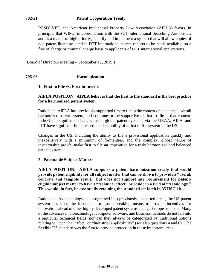## **702-21 Patent Cooperation Treaty**

RESOLVED, the American Intellectual Property Law Association (AIPLA) favors, in principle, that WIPO, in coordination with the PCT International Searching Authorities, and as a matter of high priority, identify and implement a system that will allow copies of non-patent literature cited in PCT international search reports to be made available on a free of charge or minimal charge basis to applicants of PCT international applications.

(Board of Directors Meeting – September 11, 2019.)

## **705-06 Harmonization**

#### **1. First to File vs. First to Invent**:

## **AIPLA POSITION: AIPLA believes that the first to file standard is the best practice for a harmonized patent system.**

Rationale: AIPLA has previously supported first to file in the context of a balanced overall harmonized patent system, and continues to be supportive of first to file in that context. Indeed, the significant changes in the global patent systems, via the URAA, AIPA, and PLT have significantly increased the desirability of a first to file system in the US.

Changes in the US, including the ability to file a provisional application quickly and inexpensively with a minimum of formalities, and the complex, global nature of inventorship proofs, make first to file an imperative for a truly harmonized and balanced patent system.

#### **2. Patentable Subject Matter:**

**AIPLA POSITION: AIPLA supports a patent harmonization treaty that would provide patent eligibility for all subject matter that can be shown to provide a "useful, concrete and tangible result," but does not support any requirement for patenteligible subject matter to have a "technical effect" or reside in a field of "technology." This would, in fact, be essentially retaining the standard set forth in 35 USC 101.** 

Rationale: As technology has progressed into previously uncharted areas, the US patent system has been the incubator for groundbreaking means to provide incentives for innovation, ahead of other highly developed patent systems in, e.g., Europe or Japan. Many of the advances in biotechnology, computer software, and business methods do not fall into a particular technical fields, nor can they always be categorized by traditional notions relating to "technical effect" or "industrial applicability" (see also questions 4 and 6). The flexible US standard was the first to provide protection in these important areas.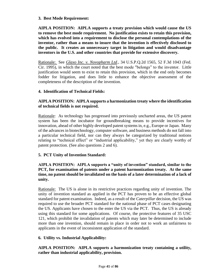## **3. Best Mode Requirement:**

**AIPLA POSITION: AIPLA supports a treaty provision which would cause the US to remove the best mode requirement. No justification exists to retain this provision, which has evolved into a requirement to disclose the personal contemplations of the inventor, rather than a means to insure that the invention is effectively disclosed to the public. It creates an unnecessary target in litigation and would disadvantage inventors in the U.S. and other countries that provide for extensive discovery.**

Rationale: See *Glaxo Inc. v. Novopharm Ltd.,* 34 U.S.P.Q.2d 1565, 52 F.3d 1043 (Fed. Cir. 1995), in which the court noted that the best mode "belongs" to the inventor. Little justification would seem to exist to retain this provision, which in the end only becomes fodder for litigation, and does little to enhance the objective assessment of the completeness of the description of the invention.

# **4. Identification of Technical Fields:**

# **AIPLA POSITION: AIPLA supports a harmonization treaty where the identification of technical fields is not required.**

Rationale: As technology has progressed into previously uncharted areas, the US patent system has been the incubator for groundbreaking means to provide incentives for innovation, ahead of other highly developed patent systems in, e.g., Europe or Japan. Many of the advances in biotechnology, computer software, and business methods do not fall into a particular technical field, nor can they always be categorized by traditional notions relating to "technical effect" or "industrial applicability," yet they are clearly worthy of patent protection. (See also questions 2 and 6).

## **5. PCT Unity of Invention Standard:**

## **AIPLA POSITION: AIPLA supports a "unity of invention" standard, similar to the PCT, for examination of patents under a patent harmonization treaty. At the same time, no patent should be invalidated on the basis of a later determination of a lack of unity.**

Rationale: The US is alone in its restrictive practices regarding unity of invention. The unity of invention standard as applied in the PCT has proven to be an effective global standard for patent examination. Indeed, as a result of the *Caterpillar* decision, the US was required to use the broader PCT standard for the national phase of PCT cases designating the US. Applicants have chosen to the enter the US via the PCT. Thus, the US is already using this standard for some applications. Of course, the protective features of 35 USC 121, which prohibit the invalidation of patents which may later be determined to include more than one invention, should remain in place in order not to work an unfairness to applicants in the event of inconsistent application of the standard.

## **6. Utility vs. Industrial Applicability:**

# **AIPLA POSITION: AIPLA supports a harmonization treaty containing a utility, rather than industrial applicability, provision.**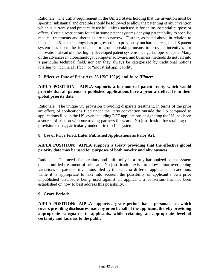Rationale: The utility requirement in the United States holding that the invention must be specific, substantial and credible should be followed to allow the patenting of any invention which is currently and practically useful, unless such use is for an insubstantial purpose or effect. Certain restrictions found in some patent systems denying patentability to specific medical treatments and therapies are too narrow. Further, as noted above in relation to items 2 and 6, as technology has progressed into previously uncharted areas, the US patent system has been the incubator for groundbreaking means to provide incentives for innovation, ahead of other highly developed patent systems in, e.g., Europe or Japan. Many of the advances in biotechnology, computer software, and business methods do not fall into a particular technical field, nor can they always be categorized by traditional notions relating to "technical effect" or "industrial applicability."

## **7. Effective Date of Prior Art- 35 USC 102(e) and** *In re Hilmer***:**

## **AIPLA POSITION: AIPLA supports a harmonized patent treaty which would provide that all patents or published applications have a prior art effect from their global priority date.**

Rationale: The unique US provision providing disparate treatment, in terms of the prior art effect, of applications filed under the Paris convention outside the US compared to applications filed in the US, even including PCT applications designating the US, has been a source of friction with our trading partners for years. No justification for retaining this provision exists, particularly under a first to file system.

## **8. Use of Prior Filed, Later Published Applications as Prior Art:**

## **AIPLA POSITION: AIPLA supports a treaty providing that the effective global priority date may be used for purposes of both novelty and obviousness.**

Rationale: The needs for certainty and uniformity in a truly harmonized patent system dictate unified treatment of prior art. No justification exists to allow minor overlapping variations on patented inventions filed by the same or different applicants. In addition, while it is appropriate to take into account the possibility of applicant's own prior unpublished disclosure being used against an applicant, a consensus has not been established on how to best address this possibility.

#### **9. Grace Period:**

**AIPLA POSITION: AIPLA supports a grace period that is personal, i.e., which covers pre-filing disclosures made by or on behalf of the applicant, thereby providing appropriate safeguards to applicants, while retaining an appropriate level of certainty and fairness to the public.**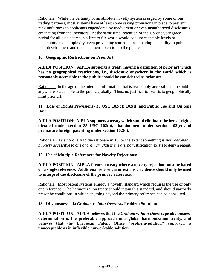Rationale: While the certainty of an absolute novelty system is urged by some of our trading partners, most systems have at least some saving provisions in place to prevent rank unfairness to applicants engendered by inadvertent or even unauthorized disclosures emanating from the inventors. At the same time, retention of the US one year grace period for all disclosures in a first to file world would add unacceptable levels of uncertainty and complexity, even preventing someone from having the ability to publish their development and dedicate their invention to the public.

## **10. Geographic Restrictions on Prior Art:**

**AIPLA POSITION: AIPLA supports a treaty having a definition of prior art which has no geographical restrictions, i.e., disclosure anywhere in the world which is reasonably accessible to the public should be considered as prior art**.

Rationale: In the age of the internet, information that is reasonably accessible to the public anywhere is available to the public globally. Thus, no justification exists to geographically limit prior art.

**11. Loss of Rights Provisions- 35 USC 102(c); 102(d) and Public Use and On Sale Bar:**

**AIPLA POSITION: AIPLA supports a treaty which would eliminate the loss of rights dictated under section 35 USC 102(b), abandonment under section 102(c) and premature foreign patenting under section 102(d).**

Rationale: As a corollary to the rationale in 10, to the extent something is *not reasonably publicly accessible to one of ordinary skill in the art*, no justification exists to deny a patent.

## **12. Use of Multiple References for Novelty Rejections:**

## **AIPLA POSITION: AIPLA favors a treaty where a novelty rejection must be based on a single reference. Additional references or extrinsic evidence should only be used to interpret the disclosure of the primary reference.**

Rationale: Most patent systems employ a novelty standard which requires the use of only one reference. The harmonization treaty should retain this standard, and should narrowly prescribe conditions in which anything beyond the primary reference can be consulted.

#### **13. Obviousness a la** *Graham v. John Deere* **vs. Problem Solution:**

**AIPLA POSITION: AIPLA believes that the** *Graham v. John Deere* **type obviousness determination is the preferable approach in a global harmonization treaty, and believes that the European Patent Office "problem-solution" approach is unacceptable as in inflexible, unworkable solution.**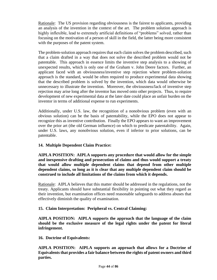Rationale: The US provision regarding obviousness is the fairest to applicants, providing an analysis of the invention in the context of the art. The problem solution approach is highly inflexible, lead to extremely artificial definitions of "problems" solved, rather than focusing on the motivation of a person of skill in the field, the latter being more consistent with the purposes of the patent system.

The problem-solution approach requires that each claim solves the problem described, such that a claim drafted in a way that does not solve the described problem would not be patentable. This approach in essence limits the inventive step analysis to a showing of unexpected results, which is only one of the Graham v. John Deere factors. Further, an applicant faced with an obviousness/inventive step rejection where problem-solution approach is the standard, would be often required to produce experimental data showing that the described problem is solved by the invention, which data would otherwise be unnecessary to illustrate the invention. Moreover, the obviousness/lack of inventive step rejection may arise long after the inventor has moved onto other projects. Thus, to require development of new experimental data at the later date could place an unfair burden on the inventor in terms of additional expense to run experiments.

Additionally, under U.S. law, the recognition of a nonobvious problem (even with an obvious solution) can be the basis of patentability, while the EPO does not appear to recognize this as inventive contribution. Finally the EPO appears to want an improvement over the prior art (the old German influence) on which to predicate patentability. Again, under U.S. laws, any nonobvious solution, even if inferior to prior solutions, can be patentable.

## **14. Multiple Dependent Claim Practice:**

**AIPLA POSITION: AIPLA supports any procedure that would allow for the simple and inexpensive drafting and prosecution of claims and thus would support a treaty that would allow multiple dependent claims that depend from other multiple dependent claims, so long as it is clear that any multiple dependent claim should be construed to include all limitations of the claims from which it depends.**

Rationale: AIPLA believes that this matter should be addressed in the regulations, not the treaty. Applicants should have substantial flexibility in pointing out what they regard as their invention, but examination offices need reasonable safeguards to address abuses that effectively diminish the quality of examination.

## **15. Claim Interpretation: Peripheral vs. Central Claiming:**

**AIPLA POSITION: AIPLA supports the approach that the language of the claim should be the exclusive measure of the legal rights under the patent for literal infringement.**

**16. Doctrine of Equivalents:**

**AIPLA POSITION: AIPLA supports an approach that allows for a Doctrine of Equivalents that provides a fair balance between the rights of patent owners and third parties.**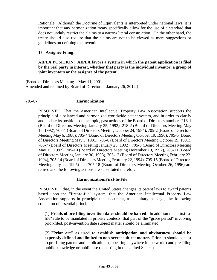Rationale: Although the Doctrine of Equivalents is interpreted under national laws, it is important that any harmonization treaty specifically allow for the use of a standard that does not unduly restrict the claims to a narrow literal construction. On the other hand, the treaty should also require that the claims are not to be viewed as mere suggestions or guidelines on defining the invention.

## **17. Assignee Filing:**

## **AIPLA POSITION: AIPLA favors a system in which the patent application is filed by the real party in interest, whether that party is the individual inventor, a group of joint inventors or the assignee of the patent.**

(Board of Directors Meeting – May 11, 2001. Amended and retained by Board of Directors – January 26, 2012.)

#### **705-07 Harmonization**

RESOLVED, That the American Intellectual Property Law Association supports the principle of a balanced and harmonized worldwide patent system, and in order to clarify and update its positions on the topic, past actions of the Board of Directors numbers 218-1 (Board of Directors Meeting January 25, 1992), 218-2 (Board of Directors Meeting May 15, 1992), 705-1 (Board of Directors Meeting October 24, 1984), 705-2 (Board of Directors Meeting May 6, 1988), 705-4(Board of Directors Meeting October 19, 1990), 705-5 (Board of Directors Meeting May 3, 1991), 705-6 (Board of Directors Meeting October 19, 1991), 705-7 (Board of Directors Meeting January 25, 1992), 705-8 (Board of Directors Meeting May 15, 1992), 705-10 (Board of Directors Meeting December 10, 1992), 705-11 (Board of Directors Meeting January 30, 1993), 705-12 (Board of Directors Meeting February 22, 1994), 705-14 (Board of Directors Meeting February 22, 1994), 705-15 (Board of Directors Meeting July 22, 1995) and 705-18 (Board of Directors Meeting October 26, 1996) are retired and the following actions are substituted therefor:

#### **Harmonization/First-to-File**

RESOLVED, that, in the event the United States changes its patent laws to award patents based upon the "first-to-file" system, that the American Intellectual Property Law Association supports in principle the enactment, as a unitary package, the following collection of essential principles–

(1) **Proofs of pre-filing invention dates should be barred**. In addition to a "first-tofile" rule to be mandated in priority contests, that part of the "grace period" involving prior-filed, post-invention date subject matter should be eliminated.

(2) **"Prior art" as used to establish anticipation and obviousness should be expressly defined and limited to non-secret subject matter.** Prior art should consist to pre-filing patents and publications (appearing anywhere in the world) and pre-filing public knowledge or public use (occurring in the United States.)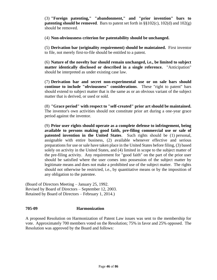(3) **"Foreign patenting," "abandonment," and "prior invention" bars to patenting should be removed**. Bars to patent set forth in §§102(c), 102(d) and 102(g) should be removed.

(4) **Non-obviousness criterion for patentability should be unchanged.**

(5) **Derivation bar (originality requirement) should be maintained.** First inventor to file, not merely first-to-file should be entitled to a patent.

(6) **Nature of the novelty bar should remain unchanged, i.e., be limited to subject matter identically disclosed or described in a single reference.** "Anticipation" should be interpreted as under existing case law.

(7) **Derivation bar and secret non-experimental use or on sale bars should continue to include "obviousness" considerations**. These "right to patent" bars should extend to subject matter that is the same as or an obvious variant of the subject matter that is derived, or used or sold.

(8) **"Grace period" with respect to "self-created" prior art should be maintained.** The inventor's own activities should not constitute prior art during a one-year grace period against the inventor.

(9) **Prior user rights should operate as a complete defense to infringement, being available to persons making good faith, pre-filing commercial use or sale of patented invention in the United States**. Such rights should be (1) personal, assignable with entire business, (2) available whenever effective and serious preparations for use or sale have taken place in the United States before filing, (3) based solely on activity in the United States, and (4) limited in scope to the subject matter of the pre-filing activity. Any requirement for "good faith" on the part of the prior user should be satisfied where the user comes into possession of the subject matter by legitimate means and does not make a prohibited use of the subject matter. The rights should not otherwise be restricted, i.e., by quantitative means or by the imposition of any obligation to the patentee.

(Board of Directors Meeting – January 25, 1992. Revised by Board of Directors – September 12, 2003. Retained by Board of Directors – February 1, 2014.)

## **705-09 Harmonization**

A proposed Resolution on Harmonization of Patent Law issues was sent to the membership for vote. Approximately 700 members voted on the Resolution; 75% in favor and 25% opposed. The Resolution was approved by the Board and follows: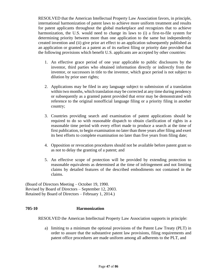RESOLVED that the American Intellectual Property Law Association favors, in principle, international harmonization of patent laws to achieve more uniform treatment and results for patent applicants throughout the global marketplace and recognizes that to achieve harmonization, the U.S. would need to change its laws to (i) a first-to-file system for determining priority between more than one application to the same but independently created invention and (ii) give prior art effect to an application subsequently published as an application or granted as a patent as of its earliest filing or priority date provided that the following provisions which benefit U.S. applicants are accepted by other countries:

- 1. An effective grace period of one year applicable to public disclosures by the inventor, third parties who obtained information directly or indirectly from the inventor, or successors in title to the inventor, which grace period is not subject to dilution by prior user rights;
- 2. Applications may be filed in any language subject to submission of a translation within two months, which translation may be corrected at any time during pendency or subsequently as a granted patent provided that error may be demonstrated with reference to the original nonofficial language filing or a priority filing in another country;
- 3. Countries providing search and examination of patent applications should be required to do so with reasonable dispatch to obtain clarification of rights in a reasonable time period with every effort made to produce a search at the time of first publication, to begin examination no later than three years after filing and exert its best efforts to complete examination no later than five years from filing date;
- 4. Opposition or revocation procedures should not be available before patent grant so as not to delay the granting of a patent; and
- 5. An effective scope of protection will be provided by extending protection to reasonable equivalents as determined at the time of infringement and not limiting claims by detailed features of the described embodiments not contained in the claims.

(Board of Directors Meeting – October 19, 1990. Revised by Board of Directors – September 12, 2003. Retained by Board of Directors – February 1, 2014.)

## **705-10 Harmonization**

RESOLVED the American Intellectual Property Law Association supports in principle:

a) limiting to a minimum the optional provisions of the Patent Law Treaty (PLT) in order to assure that the substantive patent law provisions, filing requirements and patent office procedures are made uniform among all adherents to the PLT, and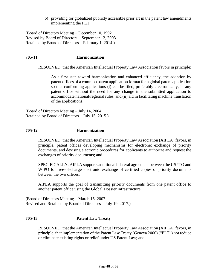b) providing for globalized publicly accessible prior art in the patent law amendments implementing the PLT.

(Board of Directors Meeting – December 10, 1992. Revised by Board of Directors – September 12, 2003. Retained by Board of Directors – February 1, 2014.)

## **705-11 Harmonization**

RESOLVED, that the American Intellectual Property Law Association favors in principle:

As a first step toward harmonization and enhanced efficiency, the adoption by patent offices of a common patent application format for a global patent application so that conforming applications (i) can be filed, preferably electronically, in any patent office without the need for any change in the submitted application to accommodate national/regional rules, and (ii) aid in facilitating machine translation of the applications.

(Board of Directors Meeting – July 14, 2004. Retained by Board of Directors – July 15, 2015.)

#### **705-12 Harmonization**

RESOLVED, that the American Intellectual Property Law Association (AIPLA) favors, in principle, patent offices developing mechanisms for electronic exchange of priority documents, and devising electronic procedures for applicants to authorize and request the exchanges of priority documents; and

SPECIFICALLY, AIPLA supports additional bilateral agreement between the USPTO and WIPO for free-of-charge electronic exchange of certified copies of priority documents between the two offices.

AIPLA supports the goal of transmitting priority documents from one patent office to another patent office using the Global Dossier infrastructure.

(Board of Directors Meeting – March 15, 2007. Revised and Retained by Board of Directors – July 19, 2017.)

## **705-13 Patent Law Treaty**

RESOLVED, that the American Intellectual Property Law Association (AIPLA) favors, in principle, that implementation of the Patent Law Treaty (Geneva 2000) ("PLT") not reduce or eliminate existing rights or relief under US Patent Law; and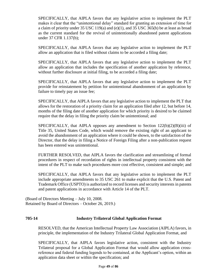SPECIFICALLY, that AIPLA favors that any legislative action to implement the PLT makes it clear that the "unintentional delay" standard for granting an extension of time for a claim of priority under 35 USC 119(a) and (e)(1), and 35 USC 365(b) be at least as broad as the current standard for the revival of unintentionally abandoned patent applications under 37 CFR 1.137(b);

SPECIFICALLY, that AIPLA favors that any legislative action to implement the PLT allow an application that is filed without claims to be accorded a filing date;

SPECIFICALLY, that AIPLA favors that any legislative action to implement the PLT allow an application that includes the specification of another application by reference, without further disclosure at initial filing, to be accorded a filing date;

SPECIFICALLY, that AIPLA favors that any legislative action to implement the PLT provide for reinstatement by petition for unintentional abandonment of an application by failure to timely pay an issue fee;

SPECIFICALLY, that AIPLA favors that any legislative action to implement the PLT that allows for the restoration of a priority claim for an application filed after 12, but before 14, months of the filing date of another application for which priority is desired to be claimed require that the delay in filing the priority claim be unintentional; and

SPECIFICALLY, that AIPLA opposes any amendment to Section  $122(b)(2)(B)(iii)$  of Title 35, United States Code, which would remove the existing right of an applicant to avoid the abandonment of an application where it could be shown, to the satisfaction of the Director, that the delay in filing a Notice of Foreign Filing after a non-publication request has been entered was unintentional.

FURTHER RESOLVED, that AIPLA favors the clarification and streamlining of formal procedures in respect of recordation of rights in intellectual property consistent with the intent of the PLT to make such procedures more cost effective, consistent and simple; and

SPECIFICALLY, that AIPLA favors that any legislative action to implement the PLT include appropriate amendments to 35 USC 261 to make explicit that the U.S. Patent and Trademark Office (USPTO) is authorized to record licenses and security interests in patents and patent applications in accordance with Article 14 of the PLT.

(Board of Directors Meeting – July 10, 2008. Retained by Board of Directors – October 26, 2019.)

## **705-14 Industry Trilateral Global Application Format**

RESOLVED, that the American Intellectual Property Law Association (AIPLA) favors, in principle, the implementation of the Industry Trilateral Global Application Format, and

SPECIFICALLY, that AIPLA favors legislative action, consistent with the Industry Trilateral proposal for a Global Application Format that would allow application crossreference and federal funding legends to be contained, at the Applicant's option, within an application data sheet or within the specification; and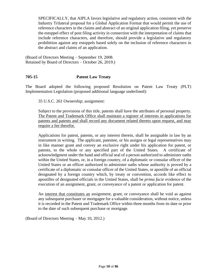SPECIFICALLY, that AIPLA favors legislative and regulatory action, consistent with the Industry Trilateral proposal for a Global Application Format that would permit the use of reference characters in the claims and abstract of an original application filing, yet preserve the estoppel effect of post filing activity in connection with the interpretation of claims that include reference characters, and therefore, should provide a legislative and regulatory prohibition against any estoppels based solely on the inclusion of reference characters in the abstract and claims of an application.

(Board of Directors Meeting – September 19, 2008. Retained by Board of Directors – October 26, 2019.)

# **705-15 Patent Law Treaty**

The Board adopted the following proposed Resolution on Patent Law Treaty (PLT) Implementation Legislation (proposed additional language underlined):

35 U.S.C. 261 Ownership; assignment:

Subject to the provisions of this title, patents shall have the attributes of personal property. The Patent and Trademark Office shall maintain a register of interests in applications for patents and patents and shall record any document related thereto upon request, and may require a fee therefor.

Applications for patent, patents, or any interest therein, shall be assignable in law by an instrument in writing. The applicant, patentee, or his assigns or legal representatives may in like manner grant and convey an exclusive right under his application for patent, or patents, to the whole or any specified part of the United States. A certificate of acknowledgment under the hand and official seal of a person authorized to administer oaths within the United States, or, in a foreign country, of a diplomatic or consular officer of the United States or an officer authorized to administer oaths whose authority is proved by a certificate of a diplomatic or consular officer of the United States, or apostille of an official designated by a foreign country which, by treaty or convention, accords like effect to apostilles of designated officials in the United States, shall be *prima facie* evidence of the execution of an assignment, grant, or conveyance of a patent or application for patent.

An interest that constitutes an assignment, grant, or conveyance shall be void as against any subsequent purchaser or mortgagee for a valuable consideration, without notice, unless it is recorded in the Patent and Trademark Office within three months from its date or prior to the date of such subsequent purchase or mortgage.

(Board of Directors Meeting – May 10, 2012.)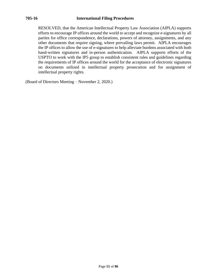#### **705-16 International Filing Procedures**

RESOLVED, that the American Intellectual Property Law Association (AIPLA) supports efforts to encourage IP offices around the world to accept and recognize e-signatures by all parties for office correspondence, declarations, powers of attorney, assignments, and any other documents that require signing, where prevailing laws permit. AIPLA encourages the IP offices to allow the use of e-signatures to help alleviate burdens associated with both hand-written signatures and in-person authentication. AIPLA supports efforts of the USPTO to work with the IP5 group to establish consistent rules and guidelines regarding the requirements of IP offices around the world for the acceptance of electronic signatures on documents utilized in intellectual property prosecution and for assignment of intellectual property rights.

(Board of Directors Meeting – November 2, 2020.)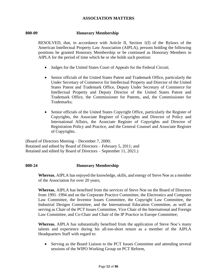## **ASSOCIATION MATTERS**

## **800-09 Honorary Membership**

RESOLVED, that, in accordance with Article II, Section 1(f) of the Bylaws of the American Intellectual Property Law Association (AIPLA), persons holding the following positions be granted Honorary Membership or be continued as Honorary Members in AIPLA for the period of time which he or she holds such position:

- Judges for the United States Court of Appeals for the Federal Circuit;
- Senior officials of the United States Patent and Trademark Office, particularly the Under Secretary of Commerce for Intellectual Property and Director of the United States Patent and Trademark Office, Deputy Under Secretary of Commerce for Intellectual Property and Deputy Director of the United States Patent and Trademark Office, the Commissioner for Patents, and, the Commissioner for Trademarks;
- Senior officials of the United States Copyright Office, particularly the Register of Copyrights, the Associate Register of Copyrights and Director of Policy and International Affairs, the Associate Register of Copyrights and Director of Registration Policy and Practice, and the General Counsel and Associate Register of Copyrights.

(Board of Directors Meeting – December 7, 2000; Retained and edited by Board of Directors – February 5, 2011; and Retained and edited by Board of Directors – September 11, 2021.)

#### **800-24 Honorary Membership**

**Whereas**, AIPLA has enjoyed the knowledge, skills, and energy of Steve Noe as a member of the Association for over 20 years;

**Whereas**, AIPLA has benefited from the services of Steve Noe on the Board of Directors from 1991–1994 and on the Corporate Practice Committee, the Electronics and Computer Law Committee, the Inventor Issues Committee, the Copyright Law Committee, the Industrial Designs Committee, and the International Education Committee, as well as serving as Chair of the PCT Issues Committee, Vice Chair of the International and Foreign Law Committee, and Co-Chair and Chair of the IP Practice in Europe Committee;

**Whereas**, AIPLA has substantially benefited from the application of Steve Noe's many talents and experience during his all-too-short tenure as a member of the AIPLA Headquarters Staff with regard to:

• Serving as the Board Liaison to the PCT Issues Committee and attending several sessions of the WIPO Working Group on PCT Reform,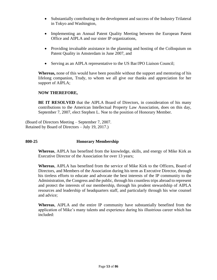- Substantially contributing to the development and success of the Industry Trilateral in Tokyo and Washington,
- Implementing an Annual Patent Quality Meeting between the European Patent Office and AIPLA and our sister IP organizations,
- Providing invaluable assistance in the planning and hosting of the Colloquium on Patent Quality in Amsterdam in June 2007, and
- Serving as an AIPLA representative to the US Bar/JPO Liaison Council;

**Whereas,** none of this would have been possible without the support and mentoring of his lifelong companion, Trudy, to whom we all give our thanks and appreciation for her support of AIPLA;

## **NOW THEREFORE,**

**BE IT RESOLVED** that the AIPLA Board of Directors, in consideration of his many contributions to the American Intellectual Property Law Association, does on this day, September 7, 2007, elect Stephen L. Noe to the position of Honorary Member.

(Board of Directors Meeting – September 7, 2007. Retained by Board of Directors – July 19, 2017.)

## **800-25 Honorary Membership**

**Whereas**, AIPLA has benefited from the knowledge, skills, and energy of Mike Kirk as Executive Director of the Association for over 13 years;

**Whereas**, AIPLA has benefited from the service of Mike Kirk to the Officers, Board of Directors, and Members of the Association during his term as Executive Director, through his tireless efforts to educate and advocate the best interests of the IP community to the Administration, the Congress and the public, through his countless trips abroad to represent and protect the interests of our membership, through his prudent stewardship of AIPLA resources and leadership of headquarters staff, and particularly through his wise counsel and advice;

**Whereas**, AIPLA and the entire IP community have substantially benefited from the application of Mike's many talents and experience during his illustrious career which has included: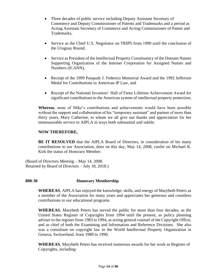- Three decades of public service including Deputy Assistant Secretary of Commerce and Deputy Commissioner of Patents and Trademarks and a period as Acting Assistant Secretary of Commerce and Acting Commissioner of Patent and Trademarks,
- Service as the Chief U.S. Negotiator on TRIPS from 1990 until the conclusion of the Uruguay Round,
- Service as President of the Intellectual Property Constituency of the Domain Names Supporting Organization of the Internet Corporation for Assigned Names and Numbers (ICANN),
- Receipt of the 1999 Pasquale J. Federico Memorial Award and the 1992 Jefferson Medal for Contributions to American IP Law, and
- Receipt of the National Inventors' Hall of Fame Lifetime Achievement Award for significant contributions to the American system of intellectual property protection;

**Whereas**, none of Mike's contributions and achievements would have been possible without the support and collaboration of his "temporary assistant" and partner of more than thirty years, Mary Catherine, to whom we all give our thanks and appreciation for her immeasurable service to AIPLA in ways both substantial and subtle;

## **NOW THEREFORE,**

**BE IT RESOLVED** that the AIPLA Board of Directors, in consideration of his many contributions to our Association, does on this day, May 14, 2008, confer on Michael K. Kirk the status of Honorary Member.

(Board of Directors Meeting – May 14, 2008. Retained by Board of Directors – July 18, 2018.)

## **800-30 Honorary Membership**

**WHEREAS**, AIPLA has enjoyed the knowledge, skills, and energy of Marybeth Peters as a member of the Association for many years and appreciates her generous and countless contributions to our educational programs.

**WHEREAS**, Marybeth Peters has served the public for more than four decades, as the United States Register of Copyrights from 1994 until the present, as policy planning adviser to the register from 1983 to 1994, as acting general counsel of the Copyright Office, and as chief of both the Examining and Information and Reference Divisions. She also was a consultant on copyright law to the World Intellectual Property Organization in Geneva, Switzerland, from 1989 to 1990.

**WHEREAS**, Marybeth Peters has received numerous awards for her work as Register of Copyrights, including: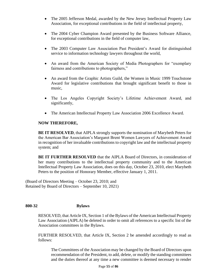- The 2005 Jefferson Medal, awarded by the New Jersey Intellectual Property Law Association, for exceptional contributions in the field of intellectual property,
- The 2004 Cyber Champion Award presented by the Business Software Alliance, for exceptional contributions in the field of computer law,
- The 2003 Computer Law Association Past President's Award for distinguished service to information technology lawyers throughout the world,
- An award from the American Society of Media Photographers for "exemplary fairness and contributions to photographers,"
- An award from the Graphic Artists Guild, the Women in Music 1999 Touchstone Award for legislative contributions that brought significant benefit to those in music,
- The Los Angeles Copyright Society's Lifetime Achievement Award, and significantly,
- The American Intellectual Property Law Association 2006 Excellence Award.

## **NOW THEREFORE,**

**BE IT RESOLVED**, that AIPLA strongly supports the nomination of Marybeth Peters for the American Bar Association's Margaret Brent Women Lawyers of Achievement Award in recognition of her invaluable contributions to copyright law and the intellectual property system; and

**BE IT FURTHER RESOLVED** that the AIPLA Board of Directors, in consideration of her many contributions to the intellectual property community and to the American Intellectual Property Law Association, does on this day, October 23, 2010, elect Marybeth Peters to the position of Honorary Member, effective January 1, 2011.

(Board of Directors Meeting – October 23, 2010; and Retained by Board of Directors – September 10, 2021)

## **800-32 Bylaws**

RESOLVED, that Article IX, Section 1 of the Bylaws of the American Intellectual Property Law Association (AIPLA) be deleted in order to omit all references to a specific list of the Association committees in the Bylaws.

FURTHER RESOLVED, that Article IX, Section 2 be amended accordingly to read as follows:

The Committees of the Association may be changed by the Board of Directors upon recommendation of the President, to add, delete, or modify the standing committees and the duties thereof at any time a new committee is deemed necessary to render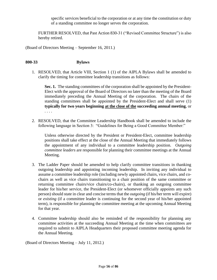specific services beneficial to the corporation or at any time the constitution or duty of a standing committee no longer serves the corporation.

FURTHER RESOLVED, that Past Action 830-31 ("Revised Committee Structure") is also hereby retired.

(Board of Directors Meeting – September 16, 2011.)

#### **800-33 Bylaws**

1. RESOLVED, that Article VIII, Section 1 (1) of the AIPLA Bylaws shall be amended to clarify the timing for committee leadership transitions as follows:

**Sec. 1.** The standing committees of the corporation shall be appointed by the President-Elect with the approval of the Board of Directors no later than the meeting of the Board immediately preceding the Annual Meeting of the corporation. The chairs of the standing committees shall be appointed by the President-Elect and shall serve (1) **typically for two years beginning at the close of the succeeding annual meeting**, or . . . .

2. RESOLVED, that the Committee Leadership Handbook shall be amended to include the following language in Section 3: "Guidelines for Being a Good Committee Member:"

Unless otherwise directed by the President or President-Elect, committee leadership positions shall take effect at the close of the Annual Meeting that immediately follows the appointment of any individual to a committee leadership position. *Outgoing committee leaders* are responsible for planning their committee meetings at the Annual Meeting.

- 3. The Ladder Paper should be amended to help clarify committee transitions in thanking outgoing leadership and appointing incoming leadership. In inviting any individual to assume a committee leadership role (including newly appointed chairs, vice chairs, and cochairs as well as vice chairs transitioning to a chair position of the same committee or returning committee chairs/vice chairs/co-chairs), or thanking an outgoing committee leader for his/her service, the President-Elect (or whomever officially appoints any such person) should state in clear and concise terms that the *outgoing* (if his/her term will expire) or *existing* (if a committee leader is continuing for the second year of his/her appointed term), is responsible for planning the committee meeting at the upcoming Annual Meeting for that year.
- 4. Committee leadership should also be reminded of the responsibility for planning any committee activities at the succeeding Annual Meeting at the time when committees are required to submit to AIPLA Headquarters their proposed committee meeting agenda for the Annual Meeting.

(Board of Directors Meeting – July 11, 2012.)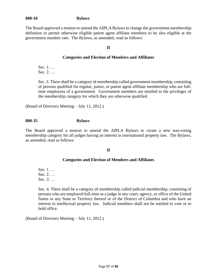## **800-34 Bylaws**

The Board approved a motion to amend the AIPLA Bylaws to change the government membership definition to permit otherwise eligible patent agent affiliate members to be also eligible at the government member rate. The Bylaws, as amended, read as follows:

## **II**

## **Categories and Election of Members and Affiliates**

Sec. 1. … Sec. 2. …

Sec. 3. There shall be a category of membership called government membership, consisting of persons qualified for regular, junior, or patent agent affiliate membership who are fulltime employees of a government. Government members are entitled to the privileges of the membership category for which they are otherwise qualified.

(Board of Directors Meeting – July 11, 2012.)

#### **800-35 Bylaws**

The Board approved a motion to amend the AIPLA Bylaws to create a new non-voting membership category for all judges having an interest in international property law. The Bylaws, as amended, read as follows:

#### **II**

#### **Categories and Election of Members and Affiliates**

Sec. 1. … Sec. 2. … Sec. 3. …

Sec. 4. There shall be a category of membership called judicial membership, consisting of persons who are employed full-time as a judge in any court, agency, or office of the United States or any State or Territory thereof or of the District of Columbia and who have an interest in intellectual property law. Judicial members shall not be entitled to vote or to hold office.

(Board of Directors Meeting – July 11, 2012.)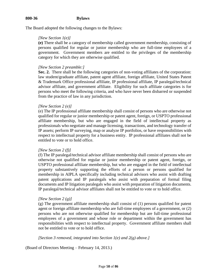# **800-36 Bylaws**

The Board adopted the following changes to the Bylaws:

#### *[New Section 1(e)]*

**(e)** There shall be a category of membership called government membership, consisting of persons qualified for regular or junior membership who are full-time employees of a government. Government members are entitled to the privileges of the membership category for which they are otherwise qualified.

#### *[New Section 2 preamble:]*

**Sec. 2.** There shall be the following categories of non-voting affiliates of the corporation: law student/graduate affiliate, patent agent affiliate, foreign affiliate, United States Patent & Trademark Office professional affiliate, IP professional affiliate, IP paralegal/technical advisor affiliate, and government affiliate. Eligibility for such affiliate categories is for persons who meet the following criteria, and who have never been disbarred or suspended from the practice of law in any jurisdiction.

#### *[New Section 2 (e)]*

(e) The IP professional affiliate membership shall consist of persons who are otherwise not qualified for regular or junior membership or patent agent, foreign, or USPTO professional affiliate membership, but who are engaged in the field of intellectual property as professionals who negotiate and manage licensing, transactions, and technology transfer of IP assets; perform IP surveying, map or analyze IP portfolios, or have responsibilities with respect to intellectual property for a business entity. IP professional affiliates shall not be entitled to vote or to hold office.

#### *[New Section 2 (f)]*

(f) The IP paralegal/technical advisor affiliate membership shall consist of persons who are otherwise not qualified for regular or junior membership or patent agent, foreign, or USPTO professional affiliate membership, but who are engaged in the field of intellectual property substantively supporting the efforts of a person or persons qualified for membership in AIPLA specifically including technical advisors who assist with drafting patent applications and IP paralegals who assist with preparation of formal filing documents and IP litigation paralegals who assist with preparation of litigation documents. IP paralegal/technical advisor affiliates shall not be entitled to vote or to hold office.

#### *[New Section 2 (g)]*

(g) The government affiliate membership shall consist of (1) persons qualified for patent agent or foreign affiliate membership who are full-time employees of a government, or (2) persons who are not otherwise qualified for membership but are full-time professional employees of a government and whose role or department within the government has responsibilities with respect to intellectual property. Government affiliate members shall not be entitled to vote or to hold office.

#### *[Section 3 removed, integrated into Section 1(e) and 2(g) above.]*

(Board of Directors Meeting – February 14, 2013.)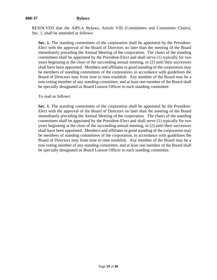# **800-37 Bylaws**

RESOLVED that the AIPLA Bylaws, Article VIII (Committees and Committee Chairs), Sec. 1, shall be amended as follows:

Sec. 1. The standing committees of the corporation shall be appointed by the President-Elect with the approval of the Board of Directors no later than the meeting of the Board immediately preceding the Annual Meeting of the corporation. The chairs of the standing committees shall be appointed by the President-Elect and shall serve (1) typically for two years beginning at the close of the succeeding annual meeting, or (2) until their successors shall have been appointed. Members and affiliates in good standing of the corporation may be members of standing committees of the corporation, in accordance with guidelines the Board of Directors may from time to time establish. Any member of the Board may be a non-voting member of any standing committee, and at least one member of the Board shall be specially designated as Board Liaison Officer to each standing committee.

To read as follows:

**Sec. 1.** The standing committees of the corporation shall be appointed by the President-Elect with the approval of the Board of Directors no later than the meeting of the Board immediately preceding the Annual Meeting of the corporation. The chairs of the standing committees shall be appointed by the President-Elect and shall serve (1) typically for two years beginning at the close of the succeeding annual meeting, or (2) until their successors shall have been appointed. Members and affiliates in good standing of the corporation may be members of standing committees of the corporation, in accordance with guidelines the Board of Directors may from time to time establish. Any member of the Board may be a non-voting member of any standing committee, and at least one member of the Board shall be specially designated as Board Liaison Officer to each standing committee.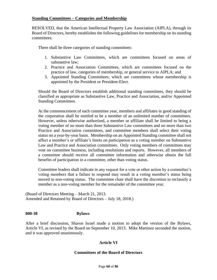## **Standing Committees – Categories and Membership**

RESOLVED, that the American Intellectual Property Law Association (AIPLA), through its Board of Directors, hereby establishes the following guidelines for membership on its standing committees.

There shall be three categories of standing committees:

- 1. Substantive Law Committees, which are committees focused on areas of substantive law;
- 2. Practice and Association Committees, which are committees focused on the practice of law, categories of membership, or general service to AIPLA; and
- 3. Appointed Standing Committees, which are committees whose membership is appointed by the President or President-Elect.

Should the Board of Directors establish additional standing committees, they should be classified as appropriate as Substantive Law, Practice and Association, and/or Appointed Standing Committees.

At the commencement of each committee year, members and affiliates in good standing of the corporation shall be entitled to be a member of an unlimited number of committees. However, unless otherwise authorized, a member or affiliate shall be limited to being a voting member of no more than three Substantive Law committees and no more than two Practice and Association committees, and committee members shall select their voting status on a year-by-year basis. Membership on an Appointed Standing committee shall not affect a member's or affiliate's limits on participation as a voting member on Substantive Law and Practice and Association committees. Only voting members of committees may vote on committee business, including resolutions and reports. However, all members of a committee should receive all committee information and otherwise obtain the full benefits of participation in a committee, other than voting status.

Committee leaders shall indicate in any request for a vote or other action by a committee's voting members that a failure to respond may result in a voting member's status being moved to non-voting status. The committee chair shall have the discretion to reclassify a member as a non-voting member for the remainder of the committee year.

(Board of Directors Meeting – March 21, 2013. Amended and Retained by Board of Directors – July 18, 2018.)

## **800-38 Bylaws**

After a brief discussion, Sharon Israel made a motion to adopt the version of the Bylaws, Article VI, as revised by the Board on September 10, 2013. Mike Martinez seconded the motion, and it was approved unanimously.

## **Article VI**

## **Committees of the Board of Directors**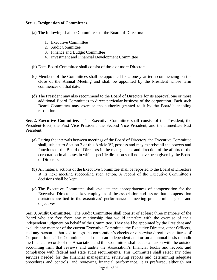## **Sec. 1. Designation of Committees.**

- (a) The following shall be Committees of the Board of Directors:
	- 1. Executive Committee
	- 2. Audit Committee
	- 3. Finance and Budget Committee
	- 4. Investment and Financial Development Committee
- (b) Each Board Committee shall consist of three or more Directors.
- (c) Members of the Committees shall be appointed for a one-year term commencing on the close of the Annual Meeting and shall be appointed by the President whose term commences on that date.
- (d) The President may also recommend to the Board of Directors for its approval one or more additional Board Committees to direct particular business of the corporation. Each such Board Committee may exercise the authority granted to it by the Board's enabling resolution.

**Sec. 2. Executive Committee.** The Executive Committee shall consist of the President, the President-Elect, the First Vice President, the Second Vice President, and the Immediate Past President.

- (a) During the intervals between meetings of the Board of Directors, the Executive Committee shall, subject to Section 2 of this Article VI, possess and may exercise all the powers and functions of the Board of Directors in the management and direction of the affairs of the corporation in all cases in which specific direction shall not have been given by the Board of Directors.
- (b) All material actions of the Executive Committee shall be reported to the Board of Directors at its next meeting succeeding such action. A record of the Executive Committee's decisions shall be kept.
- (c) The Executive Committee shall evaluate the appropriateness of compensation for the Executive Director and key employees of the association and assure that compensation decisions are tied to the executives' performance in meeting predetermined goals and objectives.

**Sec. 3. Audit Committee**. The Audit Committee shall consist of at least three members of the Board who are free from any relationship that would interfere with the exercise of their independent judgment on behalf of the Committee. They shall be appointed by the President and exclude any member of the current Executive Committee, the Executive Director, other Officers, and any person authorized to sign the corporation's checks or otherwise direct expenditures of Corporate funds. The Committee shall retain an independent auditor on an annual basis to audit the financial records of the Association and this Committee shall act as a liaison with the outside accounting firm that reviews and audits the Association's financial books and records and compliance with federal and state audit requirements. This Committee shall select any other services needed for the financial management, reviewing reports and determining adequate procedures and controls, and reviewing financial performance. It is preferred, although not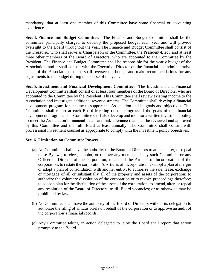mandatory, that at least one member of this Committee have some financial or accounting experience.

**Sec. 4. Finance and Budget Committee.** The Finance and Budget Committee shall be the committee principally charged to develop the proposed budget each year and will provide oversight to the Board throughout the year. The Finance and Budget Committee shall consist of the Treasurer, who shall serve as Chairperson of the Committee, the President-Elect, and at least three other members of the Board of Directors, who are appointed to the Committee by the President. The Finance and Budget Committee shall be responsible for the yearly budget of the Association, and it shall consult with the Executive Director on the financial and administrative needs of the Association. It also shall oversee the budget and make recommendations for any adjustments to the budget during the course of the year.

**Sec. 5. Investment and Financial Development Committee**. The Investment and Financial Development Committee shall consist of at least four members of the Board of Directors, who are appointed to the Committee by the President. This Committee shall review existing income to the Association and investigate additional revenue streams. The Committee shall develop a financial development program for income to support the Association and its goals and objectives. This Committee shall report at each Board Meeting on the progress of the goals of the financial development program. This Committee shall also develop and monitor a written investment policy to meet the Association's financial needs and risk tolerance that shall be reviewed and approved by this Committee and the full Board at least annually. The Committee shall consult with professional investment counsel as appropriate to comply with the investment policy objectives.

#### **Sec. 6. Limitation on Committee Powers.**

- (a) No Committee shall have the authority of the Board of Directors to amend, alter, or repeal these Bylaws; to elect, appoint, or remove any member of any such Committee or any Officer or Director of the corporation; to amend the Articles of Incorporation of the corporation; to restate the corporation's Articles of Incorporation; to adopt a plan of merger or adopt a plan of consolidation with another entity; to authorize the sale, lease, exchange or mortgage of all or substantially all of the property and assets of the corporation; to authorize the voluntary dissolution of the corporation or to revoke proceedings therefore; to adopt a plan for the distribution of the assets of the corporation; to amend, alter, or repeal any resolution of the Board of Directors; to fill Board vacancies; or as otherwise may be prohibited by law.
- (b) No Committee shall have the authority of the Board of Directors without its delegation to authorize the filing of amicus briefs on behalf of the corporation or to approve an audit of the corporation's financial records.
- (c) Any Committee taking an action delegated to it by the Board shall report that action promptly to the Board.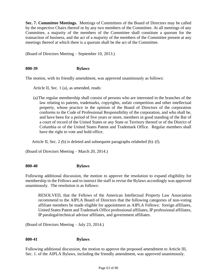**Sec. 7. Committee Meetings.** Meetings of Committees of the Board of Directors may be called by the respective Chairs thereof or by any two members of the Committee. At all meetings of any Committee, a majority of the members of the Committee shall constitute a quorum for the transaction of business, and the act of a majority of the members of the Committee present at any meetings thereof at which there is a quorum shall be the act of the Committee.

(Board of Directors Meeting – September 10, 2013.)

## **800-39 Bylaws**

The motion, with its friendly amendment, was approved unanimously as follows:

Article II, Sec. 1 (a), as amended, reads:

(a)The regular membership shall consist of persons who are interested in the branches of the law relating to patents, trademarks, copyrights, unfair competition and other intellectual property, whose practice in the opinion of the Board of Directors of the corporation conforms to the Code of Professional Responsibility of the corporation, and who shall be, and have been for a period of five years or more, members in good standing of the Bar of a court of record of the United States or any State or Territory thereof or of the District of Columbia or of the United States Patent and Trademark Office. Regular members shall have the right to vote and hold office.

Article II, Sec. 2 (b) is deleted and subsequent paragraphs relabeled (b)–(f).

(Board of Directors Meeting – March 20, 2014.)

#### **800-40 Bylaws**

Following additional discussion, the motion to approve the resolution to expand eligibility for membership in the Fellows and to instruct the staff to revise the Bylaws accordingly was approved unanimously. The resolution is as follows:

RESOLVED, that the Fellows of the American Intellectual Property Law Association recommend to the AIPLA Board of Directors that the following categories of non-voting affiliate members be made eligible for appointment as AIPLA Fellows: foreign affiliates, United States Patent and Trademark Office professional affiliates, IP professional affiliates, IP paralegal/technical advisor affiliates, and government affiliates.

(Board of Directors Meeting – July 23, 2014.)

## **800-41 Bylaws**

Following additional discussion, the motion to approve the proposed amendment to Article III, Sec. 1. of the AIPLA Bylaws, including the friendly amendment, was approved unanimously.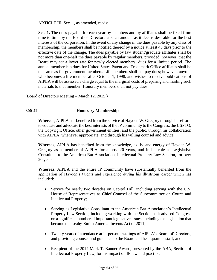ARTICLE III, Sec. 1, as amended, reads:

**Sec. 1.** The dues payable for each year by members and by affiliates shall be fixed from time to time by the Board of Directors at such amount as it deems desirable for the best interests of the corporation. In the event of any change in the dues payable by any class of membership, the members shall be notified thereof by a notice at least 45 days prior to the effective date of the change. The dues payable by law student/graduate affiliates shall be not more than one-half the dues payable by regular members, provided, however, that the Board may set a lower rate for newly elected members' dues for a limited period. The annual membership dues for United States Patent and Trademark Office affiliates shall be the same as for government members. Life members shall not pay dues; however, anyone who becomes a life member after October 1, 1998, and wishes to receive publications of AIPLA will be assessed a charge equal to the marginal costs of preparing and mailing such materials to that member. Honorary members shall not pay dues.

(Board of Directors Meeting – March 12, 2015.)

## **800-42 Honorary Membership**

**Whereas**, AIPLA has benefited from the service of Hayden W. Gregory through his efforts to educate and advocate the best interests of the IP community to the Congress, the USPTO, the Copyright Office, other government entities, and the public, through his collaboration with AIPLA, whenever appropriate, and through his willing counsel and advice;

**Whereas**, AIPLA has benefited from the knowledge, skills, and energy of Hayden W. Gregory as a member of AIPLA for almost 20 years, and in his role as Legislative Consultant to the American Bar Association, Intellectual Property Law Section, for over 20 years;

**Whereas**, AIPLA and the entire IP community have substantially benefited from the application of Hayden's talents and experience during his illustrious career which has included:

- Service for nearly two decades on Capitol Hill, including serving with the U.S. House of Representatives as Chief Counsel of the Subcommittee on Courts and Intellectual Property;
- Serving as Legislative Consultant to the American Bar Association's Intellectual Property Law Section, including working with the Section as it advised Congress on a significant number of important legislative issues, including the legislation that become the Leahy-Smith America Invents Act of 2011;
- Twenty years of attendance at in-person meetings of AIPLA's Board of Directors, and providing counsel and guidance to the Board and headquarters staff; and
- Recipient of the 2014 Mark T. Banner Award, presented by the ABA, Section of Intellectual Property Law, for his impact on IP law and practice.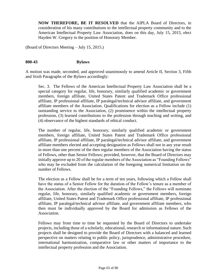**NOW THEREFORE, BE IT RESOLVED** that the AIPLA Board of Directors, in consideration of his many contributions to the intellectual property community and to the American Intellectual Property Law Association, does on this day, July 15, 2015, elect Hayden W. Gregory to the position of Honorary Member.

(Board of Directors Meeting – July 15, 2015.)

#### **800-43 Bylaws**

A motion was made, seconded, and approved unanimously to amend Article II, Section 3, Fifth and Sixth Paragraphs of the Bylaws accordingly:

Sec. 3. The Fellows of the American Intellectual Property Law Association shall be a special category for regular, life, honorary, similarly qualified academic or government members, foreign affiliate, United States Patent and Trademark Office professional affiliate, IP professional affiliate, IP paralegal/technical advisor affiliate, and government affiliate members of the Association. Qualifications for election as a Fellow include (1) outstanding service to the Association, (2) prominence within the intellectual property profession, (3) learned contributions to the profession through teaching and writing, and (4) observance of the highest standards of ethical conduct.

The number of regular, life, honorary, similarly qualified academic or government members, foreign affiliate, United States Patent and Trademark Office professional affiliate, IP professional affiliate, IP paralegal/technical advisor affiliate, and government affiliate members elected and accepting designation as Fellows shall not in any year result in more than one percent of the then regular members of the Association having the status of Fellows, other than Senior Fellows; provided, however, that the Board of Directors may initially approve up to 20 of the regular members of the Association as "Founding Fellows" who may be excluded from the calculation of the foregoing numerical limitation on the number of Fellows.

The election as a Fellow shall be for a term of ten years, following which a Fellow shall have the status of a Senior Fellow for the duration of the Fellow's tenure as a member of the Association. After the election of the "Founding Fellows," the Fellows will nominate regular, life, honorary, similarly qualified academic or government members, foreign affiliate, United States Patent and Trademark Office professional affiliate, IP professional affiliate, IP paralegal/technical advisor affiliate, and government affiliate members, who then must be individually approved by the Board for admission as Fellows of the Association.

Fellows may from time to time be requested by the Board of Directors to undertake projects, including those of a scholarly, educational, research or informational nature. Such projects shall be designed to provide the Board of Directors with a balanced and learned perspective on matters relating to public policy, jurisprudence, administrative procedure, international harmonization, comparative law or other matters of importance to the intellectual property profession and the Association.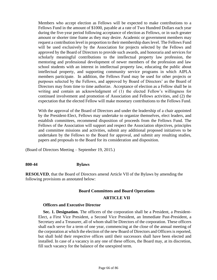Members who accept election as Fellows will be expected to make contributions to a Fellows Fund in the amount of \$1000, payable at a rate of Two Hundred Dollars each year during the five-year period following acceptance of election as Fellows, or in such greater amount or shorter time frame as they may desire. Academic or government members may request a contribution level in proportion to their membership dues level. The Fellows Fund will be used exclusively by the Association for projects selected by the Fellows and approved by the Board of Directors to provide such awards, and honoraria and services for scholarly meaningful contributions to the intellectual property law profession, the mentoring and professional development of newer members of the profession and law school students with an interest in intellectual property law, educating the public about intellectual property, and supporting community service programs in which AIPLA members participate. In addition, the Fellows Fund may be used for other projects or purposes selected by the Fellows, and approved by Board of Directors' as the Board of Directors may from time to time authorize. Acceptance of election as a Fellow shall be in writing and contain an acknowledgment of (1) the elected Fellow's willingness for continued involvement and promotion of Association and Fellows activities, and (2) the expectation that the elected Fellow will make monetary contributions to the Fellows Fund.

With the approval of the Board of Directors and under the leadership of a chair appointed by the President-Elect, Fellows may undertake to organize themselves, elect leaders, and establish committees, recommend disposition of proceeds from the Fellows Fund. The Fellows of the Association will support and respect the Association objectives, principles and committee missions and activities, submit any additional proposed initiatives to be undertaken by the Fellows to the Board for approval, and submit any resulting studies, papers and proposals to the Board for its consideration and disposition.

(Board of Directors Meeting – September 19, 2015.)

#### **800-44 Bylaws**

**RESOLVED**, that the Board of Directors amend Article VII of the Bylaws by amending the following provisions as annotated below:

#### **Board Committees and Board Operations**

#### **ARTICLE VII**

#### **Officers and Executive Director**

**Sec. 1. Designation.** The officers of the corporation shall be a President, a President-Elect, a First Vice President, a Second Vice President, an Immediate Past-President, a Secretary and a Treasurer, all of whom shall be Directors of the corporation. These officers shall each serve for a term of one year, commencing at the close of the annual meeting of the corporation at which the election of the new Board of Directors and Officers is reported, but shall hold their respective offices until their successors shall have been elected and installed. In case of a vacancy in any one of these offices, the Board may, at its discretion, fill such vacancy for the balance of the unexpired term.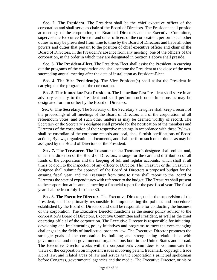**Sec. 2. The President.** The President shall be the chief executive officer of the corporation and shall serve as chair of the Board of Directors. The President shall preside at meetings of the corporation, the Board of Directors and the Executive Committee, supervise the Executive Director and other officers of the corporation, perform such other duties as may be prescribed from time to time by the Board of Directors and have all other powers and duties that pertain to the position of chief executive officer and chair of the Board of Directors. In the President's absence from any meeting, one of the officers of the corporation, in the order in which they are designated in Section 1 above shall preside.

**Sec. 3. The President-Elect.** The President-Elect shall assist the President in carrying out the programs of the corporation and shall become the President at the close of the next succeeding annual meeting after the date of installation as President-Elect.

**Sec. 4. The Vice President(s).** The Vice President(s) shall assist the President in carrying out the programs of the corporation.

**Sec. 5. The Immediate Past President.** The Immediate Past President shall serve in an advisory capacity to the President and shall perform such other functions as may be designated for him or her by the Board of Directors.

**Sec. 6. The Secretary.** The Secretary or the Secretary's designee shall keep a record of the proceedings of all meetings of the Board of Directors and of the corporation, of all referendum votes, and of such other matters as may be deemed worthy of record. The Secretary or the Secretary's designee shall provide for the notification of the members and Directors of the corporation of their respective meetings in accordance with these Bylaws, shall be custodian of the corporate records and seal, shall furnish certifications of Board actions, Bylaws, organizational documents, and shall perform such other duties as may be assigned by the Board of Directors or the President.

**Sec. 7. The Treasurer.** The Treasurer or the Treasurer's designee shall collect and, under the direction of the Board of Directors, arrange for the care and distribution of all funds of the corporation and the keeping of full and regular accounts, which shall at all times be open to the inspection of any officer or Director. The Treasurer or the Treasurer's designee shall submit for approval of the Board of Directors a proposed budget for the ensuing fiscal year, and the Treasurer from time to time shall report to the Board of Directors the state of expenditures with reference to the budget. The Treasurer shall present to the corporation at its annual meeting a financial report for the past fiscal year. The fiscal year shall be from July 1 to June 30.

**Sec. 8. The Executive Director.** The Executive Director, under the supervision of the President, shall be primarily responsible for implementing the policies and procedures established by the Board of Directors and shall be responsible for conducting the business of the corporation. The Executive Director functions as the senior policy advisor to the corporation's Board of Directors, Executive Committee and President, as well as the chief operating official of the corporation. The Executive Director is responsible for initiating, developing and implementing policy initiatives and programs to meet the ever-changing challenges in the fields of intellectual property law. The Executive Director promotes the strategic goals of the corporation by building and strengthening relationships with governmental and non-governmental organizations both in the United States and abroad. The Executive Director works with the corporation's committees to communicate the views of the corporation on important issues involving patent, trademark, copyright, trade secret law, and related areas of law and serves as the corporation's principal spokesman before Congress, governmental agencies and the media. The Executive Director, or his or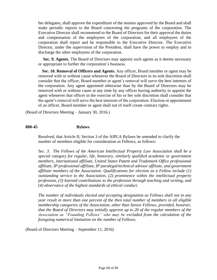her delegates, shall approve the expenditure of the monies approved by the Board and shall make periodic reports to the Board concerning the programs of the corporation. The Executive Director shall recommend to the Board of Directors for their approval the duties and compensation of the employees of the corporation, and all employees of the corporation shall report and be responsible to the Executive Director. The Executive Director, under the supervision of the President, shall have the power to employ and to discharge the other employees of the corporation.

**Sec. 9. Agents.** The Board of Directors may appoint such agents as it deems necessary or appropriate to further the corporation's business.

**Sec. 10. Removal of Officers and Agents.** Any officer, Board member or agent may be removed with or without cause whenever the Board of Directors in its sole discretion shall consider that the officer, Board member or agent's removal will serve the best interests of the corporation. Any agent appointed otherwise than by the Board of Directors may be removed with or without cause at any time by any officer having authority to appoint the agent whenever that officer in the exercise of his or her sole discretion shall consider that the agent's removal will serve the best interests of the corporation. Election or appointment of an officer, Board member or agent shall not of itself create contract rights.

(Board of Directors Meeting – January 30, 2016.)

#### **800-45 Bylaws**

Resolved, that Article II, Section 3 of the AIPLA Bylaws be amended to clarify the number of members eligible for consideration as Fellows, as follows:

*Sec. 3. The Fellows of the American Intellectual Property Law Association shall be a special category for regular, life, honorary, similarly qualified academic or government members, international affiliate, United States Patent and Trademark Office professional affiliate, IP professional affiliate, IP paralegal/technical advisor affiliate, and government affiliate members of the Association. Qualifications for election as a Fellow include (1) outstanding service to the Association, (2) prominence within the intellectual property profession, (3) learned contributions to the profession through teaching and writing, and (4) observance of the highest standards of ethical conduct.*

*The number of individuals elected and accepting designation as Fellows shall not in any year result in more than one percent of the then total number of members in all eligible membership categories of the Association, other than Senior Fellows; provided, however, that the Board of Directors may initially approve up to 20 of the regular members of the Association as "Founding Fellows" who may be excluded from the calculation of the foregoing numerical limitation on the number of Fellows.*

(Board of Directors Meeting – September 11, 2016)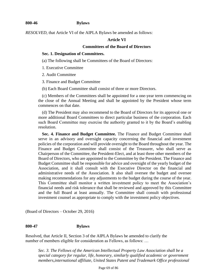#### **800-46 Bylaws**

*RESOLVED,* that Article VI of the AIPLA Bylaws be amended as follows:

#### **Article VI**

#### **Committees of the Board of Directors**

#### **Sec. 1. Designation of Committees.**

(a) The following shall be Committees of the Board of Directors:

1. Executive Committee

2. Audit Committee

3. Finance and Budget Committee

(b) Each Board Committee shall consist of three or more Directors.

(c) Members of the Committees shall be appointed for a one-year term commencing on the close of the Annual Meeting and shall be appointed by the President whose term commences on that date.

(d) The President may also recommend to the Board of Directors for its approval one or more additional Board Committees to direct particular business of the corporation. Each such Board Committee may exercise the authority granted to it by the Board's enabling resolution.

**Sec. 4. Finance and Budget Committee.** The Finance and Budget Committee shall serve in an advisory and oversight capacity concerning the financial and investment policies of the corporation and will provide oversight to the Board throughout the year. The Finance and Budget Committee shall consist of the Treasurer, who shall serve as Chairperson of the Committee, the President-Elect, and at least three other members of the Board of Directors, who are appointed to the Committee by the President. The Finance and Budget Committee shall be responsible for advice and oversight of the yearly budget of the Association, and it shall consult with the Executive Director on the financial and administrative needs of the Association. It also shall oversee the budget and oversee making recommendations for any adjustments to the budget during the course of the year. This Committee shall monitor a written investment policy to meet the Association's financial needs and risk tolerance that shall be reviewed and approved by this Committee and the full Board at least annually. The Committee shall consult with professional investment counsel as appropriate to comply with the investment policy objectives.

(Board of Directors – October 29, 2016)

#### **800-47 Bylaws**

Resolved, that Article II, Section 3 of the AIPLA Bylaws be amended to clarify the number of members eligible for consideration as Fellows, as follows: …

*Sec. 3. The Fellows of the American Intellectual Property Law Association shall be a special category for regular, life, honorary, similarly qualified academic or government members,international affiliate, United States Patent and Trademark Office professional*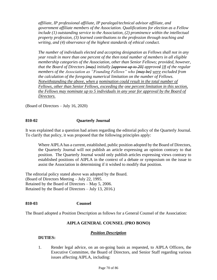*affiliate, IP professional affiliate, IP paralegal/technical advisor affiliate, and government affiliate members of the Association. Qualifications for election as a Fellow include (1) outstanding service to the Association, (2) prominence within the intellectual property profession, (3) learned contributions to the profession through teaching and writing, and (4) observance of the highest standards of ethical conduct.*

*The number of individuals elected and accepting designation as Fellows shall not in any year result in more than one percent of the then total number of members in all eligible membership categories of the Association, other than Senior Fellows; provided, however, that the Board of Directors [may] initially [approve up to 20] approved 18 of the regular members of the Association as "Founding Fellows" who [may be] were excluded from the calculation of the foregoing numerical limitation on the number of Fellows. Notwithstanding the above, when a nomination could result in the total number of Fellows, other than Senior Fellows, exceeding the one percent limitation in this section, the Fellows may nominate up to 5 individuals in any year for approval by the Board of Directors.*

(Board of Directors – July 16, 2020)

### **810-02 Quarterly Journal**

It was explained that a question had arisen regarding the editorial policy of the Quarterly Journal. To clarify that policy, it was proposed that the following principles apply:

Where AIPLA has a current, established, public position adopted by the Board of Directors, the Quarterly Journal will not publish an article expressing an opinion contrary to that position. The Quarterly Journal would only publish articles expressing views contrary to established positions of AIPLA in the context of a debate or symposium on the issue to assist the Association in determining if it wished to modify that position.

The editorial policy stated above was adopted by the Board. (Board of Directors Meeting – July 22, 1995. Retained by the Board of Directors – May 5, 2006. Retained by the Board of Directors – July 13, 2016.)

#### **810-03 810-03 Counsel**

The Board adopted a Position Description as follows for a General Counsel of the Association:

#### **AIPLA GENERAL COUNSEL (PRO BONO)**

#### *Position Description*

#### **DUTIES:**

1. Render legal advice, on an on-going basis as requested, to AIPLA Officers, the Executive Committee, the Board of Directors, and Senior Staff regarding various issues affecting AIPLA, including: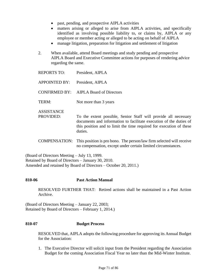- past, pending, and prospective AIPLA activities
- matters arising or alleged to arise from AIPLA activities, and specifically identified as involving possible liability to, or claims by, AIPLA or any employee or member acting or alleged to be acting on behalf of AIPLA
- manage litigation, preparation for litigation and settlement of litigation
- 2. When available, attend Board meetings and study pending and prospective AIPLA Board and Executive Committee actions for purposes of rendering advice regarding the same.

| <b>REPORTS TO:</b>             | President, AIPLA                                                                                                                                                                                                        |
|--------------------------------|-------------------------------------------------------------------------------------------------------------------------------------------------------------------------------------------------------------------------|
| <b>APPOINTED BY:</b>           | President, AIPLA                                                                                                                                                                                                        |
|                                | <b>CONFIRMED BY:</b> AIPLA Board of Directors                                                                                                                                                                           |
| TERM:                          | Not more than 3 years                                                                                                                                                                                                   |
| <b>ASSISTANCE</b><br>PROVIDED: | To the extent possible, Senior Staff will provide all necessary<br>documents and information to facilitate execution of the duties of<br>this position and to limit the time required for execution of these<br>duties. |

COMPENSATION: This position is pro bono. The person/law firm selected will receive no compensation, except under certain limited circumstances.

(Board of Directors Meeting – July 13, 1999. Retained by Board of Directors – January 30, 2010.

Amended and retained by Board of Directors – October 20, 2011.)

# **810-06 Past Action Manual**

RESOLVED FURTHER THAT: Retired actions shall be maintained in a Past Action Archive.

(Board of Directors Meeting – January 22, 2003; Retained by Board of Directors – February 1, 2014.)

#### **810-07 Budget Process**

RESOLVED that, AIPLA adopts the following procedure for approving its Annual Budget for the Association:

1. The Executive Director will solicit input from the President regarding the Association Budget for the coming Association Fiscal Year no later than the Mid-Winter Institute.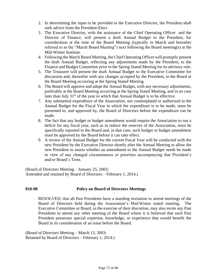- 2. In determining the input to be provided to the Executive Director, the President shall seek advice from the President-Elect.
- 3. The Executive Director, with the assistance of the Chief Operating Officer and the Director of Finance, will present a draft Annual Budget to the President, for consideration at the time of the Board Meeting (typically in March and hereafter referred to as the "March Board Meeting") next following the Board meeting(s) at the Mid-Winter Institute.
- 4. Following the March Board Meeting, the Chief Operating Officer will promptly present the draft Annual Budget, reflecting any adjustments made by the President, to the Finance and Budget Committee prior to the Spring Stated Meeting for its advisory role.
- 5. The Treasurer will present the draft Annual Budget to the Executive Committee for discussion and, thereafter with any changes accepted by the President, to the Board at the Board Meeting occurring at the Spring Stated Meeting.
- 6. The Board will approve and adopt the Annual Budget, with any necessary adjustments, preferably at the Board Meeting occurring at the Spring Stated Meeting, and in no case later than July 31<sup>st</sup> of the year in which that Annual Budget is to be effective.
- 7. Any substantial expenditure of the Association, not contemplated or authorized in the Annual Budget for the Fiscal Year in which the expenditure is to be made, must be presented to, and approved by, the Board of Directors before the expenditure can be made.
- 8. The fact that any budget or budget amendment would require the Association to run a deficit for any fiscal year, such as to reduce the reserves of the Association, must be specifically reported to the Board and, in that case, such budget or budget amendment must be approved by the Board before it can take effect.
- 9. A review of the Annual Budget for the current Fiscal Year will be conducted with the new President by the Executive Director shortly after the Annual Meeting to allow the new President to assess whether an amendment to the Annual Budget needs be made in view of any changed circumstances or priorities accompanying that President's and/or Board's Term.

(Board of Directors Meeting – January 25, 2003; Amended and retained by Board of Directors – February 1, 2014.)

# **810-08 Policy on Board of Directors Meetings**

RESOLVED, that all Past Presidents have a standing invitation to attend meetings of the Board of Directors held during the Association's Mid-Winter stated meeting. The Executive Committee or Board, in the exercise of their discretion, may also invite any Past Presidents to attend any other meeting of the Board where it is believed that such Past President possesses special expertise, knowledge, or experience that would benefit the Board in its consideration of an issue before the Board.

(Board of Directors Meeting – March 13, 2003; Retained by Board of Directors – February 1, 2014.)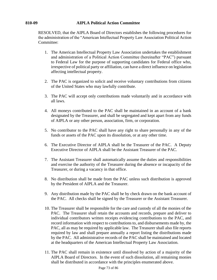# **810-09 AIPLA Political Action Committee**

RESOLVED, that the AIPLA Board of Directors establishes the following procedures for the administration of the "American Intellectual Property Law Association Political Action Committee:

- 1. The American Intellectual Property Law Association undertakes the establishment and administration of a Political Action Committee (hereinafter "PAC") pursuant to Federal Law for the purpose of supporting candidates for Federal office who, irrespective of political party or affiliation, can have a direct influence on legislation affecting intellectual property.
- 2. The PAC is organized to solicit and receive voluntary contributions from citizens of the United States who may lawfully contribute.
- 3. The PAC will accept only contributions made voluntarily and in accordance with all laws.
- 4. All moneys contributed to the PAC shall be maintained in an account of a bank designated by the Treasurer, and shall be segregated and kept apart from any funds of AIPLA or any other person, association, firm, or corporation.
- 5. No contributor to the PAC shall have any right to share personally in any of the funds or assets of the PAC upon its dissolution, or at any other time.
- 6. The Executive Director of AIPLA shall be the Treasurer of the PAC. A Deputy Executive Director of AIPLA shall be the Assistant Treasurer of the PAC.
- 7. The Assistant Treasurer shall automatically assume the duties and responsibilities and exercise the authority of the Treasurer during the absence or incapacity of the Treasurer, or during a vacancy in that office.
- 8. No distribution shall be made from the PAC unless such distribution is approved by the President of AIPLA and the Treasurer.
- 9. Any distribution made by the PAC shall be by check drawn on the bank account of the PAC. All checks shall be signed by the Treasurer or the Assistant Treasurer.
- 10. The Treasurer shall be responsible for the care and custody of all the monies of the PAC. The Treasurer shall retain the accounts and records, prepare and deliver to individual contributors written receipts evidencing contributions to the PAC, and record information with respect to contributions to, and disbursements made by, the PAC, all as may be required by applicable law. The Treasurer shall also file reports required by law and shall prepare annually a report listing the distributions made by the PAC. All administrative records of the PAC shall be maintained and located at the headquarters of the American Intellectual Property Law Association.
- 11. The PAC shall remain in existence until dissolved by action of a majority of the AIPLA Board of Directors. In the event of such dissolution, all remaining monies shall be distributed in accordance with the principles enumerated above.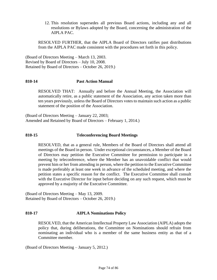12. This resolution supersedes all previous Board actions, including any and all resolutions or Bylaws adopted by the Board, concerning the administration of the AIPLA PAC.

RESOLVED FURTHER, that the AIPLA Board of Directors ratifies past distributions from the AIPLA PAC made consistent with the procedures set forth in this policy.

(Board of Directors Meeting – March 13, 2003. Revised by Board of Directors – July 10, 2008. Retained by Board of Directors – October 26, 2019.)

# **810-14 Past Action Manual**

RESOLVED THAT: Annually and before the Annual Meeting, the Association will automatically retire, as a public statement of the Association, any action taken more than ten years previously, unless the Board of Directors votes to maintain such action as a public statement of the position of the Association.

(Board of Directors Meeting – January 22, 2003; Amended and Retained by Board of Directors – February 1, 2014.)

### **810-15 Teleconferencing Board Meetings**

RESOLVED, that as a general rule, Members of the Board of Directors shall attend all meetings of the Board in person. Under exceptional circumstances, a Member of the Board of Directors may petition the Executive Committee for permission to participate in a meeting by teleconference, where the Member has an unavoidable conflict that would prevent him or her from attending in person, where the petition to the Executive Committee is made preferably at least one week in advance of the scheduled meeting, and where the petition states a specific reason for the conflict. The Executive Committee shall consult with the Executive Director for input before deciding on any such request, which must be approved by a majority of the Executive Committee.

(Board of Directors Meeting – May 13, 2009. Retained by Board of Directors – October 26, 2019.)

#### **810-17 AIPLA Nominations Policy**

RESOLVED, that the American Intellectual Property Law Association (AIPLA) adopts the policy that, during deliberations, the Committee on Nominations should refrain from nominating an individual who is a member of the same business entity as that of a Committee member.

(Board of Directors Meeting – January 5, 2012.)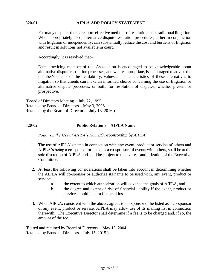#### **820-01 AIPLA ADR POLICY STATEMENT**

For many disputes there are more effective methods of resolution than traditional litigation. When appropriately used, alternative dispute resolution procedures, either in conjunction with litigation or independently, can substantially reduce the cost and burdens of litigation and result in solutions not available in court.

Accordingly, it is resolved that–

Each practicing member of this Association is encouraged to be knowledgeable about alternative dispute resolution processes, and where appropriate, is encouraged to advise the member's clients of the availability, values and characteristics of these alternatives to litigation so that clients can make an informed choice concerning the use of litigation or alternative dispute processes, or both, for resolution of disputes, whether present or prospective.

(Board of Directors Meeting – July 22, 1995. Retained by Board of Directors – May 3, 2006. Retained by the Board of Directors – July 13, 2016.)

# **820-02 Public Relations – AIPLA Name**

*Policy on the Use of AIPLA's Name/Co-sponsorship by AIPLA*

- 1. The use of AIPLA's name in connection with any event, product or service of others and AIPLA's being a co-sponsor or listed as a co-sponsor, of events with others, shall be at the sole discretion of AIPLA and shall be subject to the express authorization of the Executive Committee.
- 2. At least the following considerations shall be taken into account in determining whether the AIPLA will co-sponsor or authorize its name to be used with, any event, product or service:
	- a. the extent to which authorization will advance the goals of AIPLA, and
	- b. the degree and extent of risk of financial liability if the event, product or service should incur a financial loss.
- 3. When AIPLA, consistent with the above, agrees to co-sponsor or be listed as a co-sponsor of any event, product or service, AIPLA may allow use of its mailing list in connection therewith. The Executive Director shall determine if a fee is to be charged and, if so, the amount of the fee.

(Edited and retained by Board of Directors – May 13, 2004. Retained by Board of Directors – July 15, 2015.)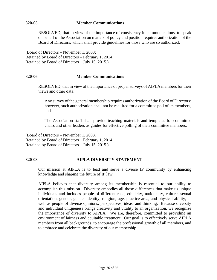#### **820-05 Member Communications**

RESOLVED, that in view of the importance of consistency in communications, to speak on behalf of the Association on matters of policy and position requires authorization of the Board of Directors, which shall provide guidelines for those who are so authorized.

(Board of Directors – November 1, 2003; Retained by Board of Directors – February 1, 2014. Retained by Board of Directors – July 15, 2015.)

### **820-06 Member Communications**

RESOLVED, that in view of the importance of proper surveys of AIPLA members for their views and other data:

Any survey of the general membership requires authorization of the Board of Directors; however, such authorization shall not be required for a committee poll of its members, and

The Association staff shall provide teaching materials and templates for committee chairs and other leaders as guides for effective polling of their committee members.

(Board of Directors – November 1, 2003. Retained by Board of Directors – February 1, 2014. Retained by Board of Directors – July 15, 2015.)

#### **820-08 AIPLA DIVERSITY STATEMENT**

Our mission at AIPLA is to lead and serve a diverse IP community by enhancing knowledge and shaping the future of IP law.

AIPLA believes that diversity among its membership is essential to our ability to accomplish this mission. Diversity embodies all those differences that make us unique individuals and includes people of different race, ethnicity, nationality, culture, sexual orientation, gender, gender identity, religion, age, practice area, and physical ability, as well as people of diverse opinions, perspectives, ideas, and thinking. Because diversity and individual uniqueness brings creativity and vitality to an organization, we recognize the importance of diversity to AIPLA. We are, therefore, committed to providing an environment of fairness and equitable treatment. Our goal is to effectively serve AIPLA members from all backgrounds, to encourage the professional growth of all members, and to embrace and celebrate the diversity of our membership.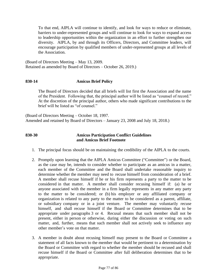To that end, AIPLA will continue to identify, and look for ways to reduce or eliminate, barriers to under-represented groups and will continue to look for ways to expand access to leadership opportunities within the organization in an effort to further strengthen our diversity. AIPLA, by and through its Officers, Directors, and Committee leaders, will encourage participation by qualified members of under-represented groups at all levels of the Association.

(Board of Directors Meeting – May 13, 2009. Retained as amended by Board of Directors – October 26, 2019.)

# **830-14 Amicus Brief Policy**

The Board of Directors decided that all briefs will list first the Association and the name of the President. Following that, the principal author will be listed as "counsel of record." At the discretion of the principal author, others who made significant contributions to the brief will be listed as "of counsel."

(Board of Directors Meeting – October 18, 1997. Amended and retained by Board of Directors – January 23, 2008 and July 18, 2018.)

### **830-30 Amicus Participation Conflict Guidelines and Amicus Brief Footnote**

- 1. The principal focus should be on maintaining the credibility of the AIPLA to the courts.
- 2. Promptly upon learning that the AIPLA Amicus Committee ("Committee") or the Board, as the case may be, intends to consider whether to participate as an amicus in a matter, each member of the Committee and the Board shall undertake reasonable inquiry to determine whether the member may need to recuse himself from consideration of a brief. A member shall recuse himself if he or his firm represents a party to the matter to be considered in that matter. A member shall consider recusing himself if: (a) he or anyone associated with the member in a firm legally represents in any matter any party to the matter to be considered; or (b) his employer or any affiliated company or organization is related to any party to the matter to be considered as a parent, affiliate, or subsidiary company or in a joint venture. The member may voluntarily recuse himself, and shall recuse himself if the Board or Committee determines that to be appropriate under paragraphs 3 or 4. Recusal means that such member shall not be present, either in person or otherwise, during either the discussion or voting on such matter, and, further, means that such member shall not actively seek to influence any other member's vote on that matter.
- 3. A member in doubt about recusing himself may present to the Board or Committee a statement of all facts known to the member that would be pertinent to a determination by the Board or Committee with regard to whether the member should be recused and shall recuse himself if the Board or Committee after full deliberation determines that to be appropriate.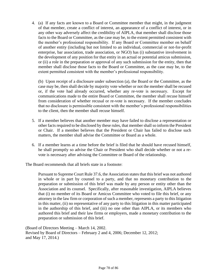4. (a) If any facts are known to a Board or Committee member that might, in the judgment of that member, create a conflict of interest, an appearance of a conflict of interest, or in any other way adversely affect the credibility of AIPLA, that member shall disclose those facts to the Board or Committee, as the case may be, to the extent permitted consistent with the member's professional responsibility. If any Board or Committee member on behalf of another entity (including but not limited to an individual, commercial or not-for-profit enterprise, bar association, trade association, or NGO) has (i) substantive involvement in the development of any position for that entity in an actual or potential amicus submission, or (ii) a role in the preparation or approval of any such submission for the entity, then that member shall disclose those facts to the Board or Committee, as the case may be, to the extent permitted consistent with the member's professional responsibility.

(b) Upon receipt of a disclosure under subsection (a), the Board or the Committee, as the case may be, then shall decide by majority vote whether or not the member shall be recused or, if the vote had already occurred, whether any re-vote is necessary. Except for communications made to the entire Board or Committee, the member shall recuse himself from consideration of whether recusal or re-vote is necessary. If the member concludes that no disclosure is permissible consistent with the member's professional responsibilities to the client, then the member shall recuse himself.

- 5. If a member believes that another member may have failed to disclose a representation or other facts required to be disclosed by these rules, that member shall so inform the President or Chair. If a member believes that the President or Chair has failed to disclose such matters, the member shall advise the Committee or Board as a whole.
- 6. If a member learns at a time before the brief is filed that he should have recused himself, he shall promptly so advise the Chair or President who shall decide whether or not a revote is necessary after advising the Committee or Board of the relationship.

The Board recommends that all briefs state in a footnote:

Pursuant to Supreme Court Rule 37.6, the Association states that this brief was not authored in whole or in part by counsel to a party, and that no monetary contribution to the preparation or submission of this brief was made by any person or entity other than the Association and its counsel. Specifically, after reasonable investigation, AIPLA believes that (i) no member of its Board or Amicus Committee who voted to file this brief, or any attorney in the law firm or corporation of such a member, represents a party to this litigation in this matter, (ii) no representative of any party to this litigation in this matter participated in the authorship of this brief, and (iii) no one other than AIPLA, or its members who authored this brief and their law firms or employers, made a monetary contribution to the preparation or submission of this brief.

(Board of Directors Meeting – March 14, 2002. Revised by Board of Directors – February 2 and 4, 2006; December 12, 2012; and May 17, 2014.)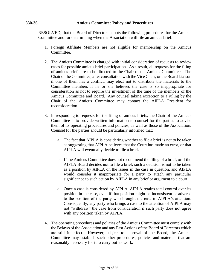#### **830-36 Amicus Committee Policy and Procedures**

RESOLVED, that the Board of Directors adopts the following procedures for the Amicus Committee and for determining when the Association will file an amicus brief:

- 1. Foreign Affiliate Members are not eligible for membership on the Amicus Committee.
- 2. The Amicus Committee is charged with initial consideration of requests to review cases for possible amicus brief participation. As a result, all requests for the filing of amicus briefs are to be directed to the Chair of the Amicus Committee. The Chair of the Committee, after consultation with the Vice Chair, or the Board Liaison if one of them has a conflict, may elect not to distribute the materials to the Committee members if he or she believes the case is so inappropriate for consideration as not to require the investment of the time of the members of the Amicus Committee and Board. Any counsel taking exception to a ruling by the Chair of the Amicus Committee may contact the AIPLA President for reconsideration.
- 3. In responding to requests for the filing of amicus briefs, the Chair of the Amicus Committee is to provide written information to counsel for the parties to advise them of its operating procedures and policies, as well as those of the Association. Counsel for the parties should be particularly informed that:
	- a. The fact that AIPLA is considering whether to file a brief is not to be taken as suggesting that AIPLA believes that the Court has made an error, or that AIPLA will eventually decide to file a brief.
	- b. If the Amicus Committee does not recommend the filing of a brief, or if the AIPLA Board decides not to file a brief, such a decision is not to be taken as a position by AIPLA on the issues in the case in question, and AIPLA would consider it inappropriate for a party to attach any particular significance to such action by AIPLA in any brief or argument to a court.
	- c. Once a case is considered by AIPLA, AIPLA retains total control over its position in the case, even if that position might be inconsistent or adverse to the position of the party who brought the case to AIPLA's attention. Consequently, any party who brings a case to the attention of AIPLA may not "withdraw" the case from consideration if such party does not agree with any position taken by AIPLA.
- 4. The operating procedures and policies of the Amicus Committee must comply with the Bylaws of the Association and any Past Actions of the Board of Directors which are still in effect. However, subject to approval of the Board, the Amicus Committee may establish such other procedures, policies and materials that are reasonably necessary for it to carry out its work.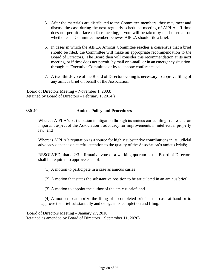- 5. After the materials are distributed to the Committee members, they may meet and discuss the case during the next regularly scheduled meeting of AIPLA. If time does not permit a face-to-face meeting, a vote will be taken by mail or email on whether each Committee member believes AIPLA should file a brief.
- 6. In cases in which the AIPLA Amicus Committee reaches a consensus that a brief should be filed, the Committee will make an appropriate recommendation to the Board of Directors. The Board then will consider this recommendation at its next meeting, or if time does not permit, by mail or e-mail, or in an emergency situation, through its Executive Committee or by telephone conference call.
- 7. A two-thirds vote of the Board of Directors voting is necessary to approve filing of any amicus brief on behalf of the Association.

(Board of Directors Meeting – November 1, 2003; Retained by Board of Directors – February 1, 2014.)

### **830-40 Amicus Policy and Procedures**

Whereas AIPLA's participation in litigation through its amicus curiae filings represents an important aspect of the Association's advocacy for improvements in intellectual property law; and

Whereas AIPLA's reputation as a source for highly substantive contributions in its judicial advocacy depends on careful attention to the quality of the Association's amicus briefs;

RESOLVED, that a 2/3 affirmative vote of a working quorum of the Board of Directors shall be required to approve each of:

- (1) A motion to participate in a case as amicus curiae;
- (2) A motion that states the substantive position to be articulated in an amicus brief;

(3) A motion to appoint the author of the amicus brief, and

(4) A motion to authorize the filing of a completed brief in the case at hand or to approve the brief substantially and delegate its completion and filing.

(Board of Directors Meeting – January 27, 2010. Retained as amended by Board of Directors – September 11, 2020)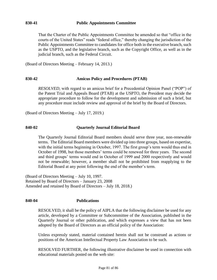### **830-41 Public Appointments Committee**

That the Charter of the Public Appointments Committee be amended so that "office in the courts of the United States" reads "federal office," thereby changing the jurisdiction of the Public Appointments Committee to candidates for office both in the executive branch, such as the USPTO, and the legislative branch, such as the Copyright Office, as well as in the judicial branch, such as the Federal Circuit.

(Board of Directors Meeting – February 14, 2013.)

### **830-42 Amicus Policy and Procedures (PTAB)**

*RESOLVED*, with regard to an amicus brief for a Precedential Opinion Panel ("POP") of the Patent Trial and Appeals Board (PTAB) at the USPTO, the President may decide the appropriate procedure to follow for the development and submission of such a brief, but any procedure must include review and approval of the brief by the Board of Directors.

(Board of Directors Meeting – July 17, 2019.)

# **840-02 Quarterly Journal Editorial Board**

The Quarterly Journal Editorial Board members should serve three year, non-renewable terms. The Editorial Board members were divided up into three groups, based on expertise, with the initial terms beginning in October, 1997. The first group's term would thus end in October of 1998, but those members' terms could be renewed for three years. The second and third groups' terms would end in October of 1999 and 2000 respectively and would not be renewable; however, a member shall not be prohibited from reapplying to the Editorial Board at any point following the end of the member's term.

(Board of Directors Meeting – July 10, 1997. Retained by Board of Directors – January 23, 2008 Amended and retained by Board of Directors – July 18, 2018.)

#### **840-04 Publications**

RESOLVED, it shall be the policy of AIPLA that the following disclaimer be used for any article, developed by a Committee or Subcommittee of the Association, published in the Quarterly Journal or other publication, and which expresses a view that has not been adopted by the Board of Directors as an official policy of the Association:

Unless expressly stated, material contained herein shall not be construed as actions or positions of the American Intellectual Property Law Association to be such.

RESOLVED FURTHER, the following illustrative disclaimer be used in connection with educational materials posted on the web site: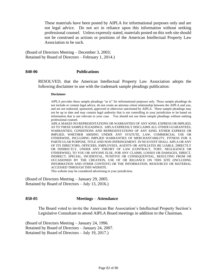These materials have been posted by AIPLA for informational purposes only and are not legal advice. Do not act in reliance upon this information without seeking professional counsel. Unless expressly stated, materials posted on this web site should not be construed as actions or positions of the American Intellectual Property Law Association to be such.

(Board of Directors Meeting – December 3, 2003; Retained by Board of Directors – February 1, 2014.)

#### **840-06 Publications**

RESOLVED, that the American Intellectual Property Law Association adopts the following disclaimer to use with the trademark sample pleadings publication:

#### **Disclaimer**

AIPLA provides these sample pleadings "as is" for informational purposes only. These sample pleadings do not include or contain legal advice, do not create an attorney-client relationship between the AIPLA and you, and are not endorsed, sponsored, approved or otherwise sanctioned by AIPLA. These sample pleadings may not be up to date and may contain legal authority that is not controlling in your jurisdiction or be based on information that is not relevant to your case. You should not use these sample pleadings without seeking professional counsel.

AIPLA MAKES NO REPRESENTATIONS OR WARRANTIES OF ANY KIND, EXPRESS OR IMPLIED, AS TO THESE SAMPLE PLEADINGS. AIPLA EXPRESSLY DISCLAIMS ALL OTHER GUARANTEES, WARRANTIES, CONDITIONS AND REPRESENTATIONS OF ANY KIND, EITHER EXPRESS OR IMPLIED, WHETHER ARISING UNDER ANY STATUTE, LAW, COMMERCIAL USE OR OTHERWISE, INCLUDING IMPLIED WARRANTIES OF MERCHANTABILITY, FITNESS FOR A PARTICULAR PURPOSE, TITLE AND NON-INFRINGEMENT. IN NO EVENT SHALL AIPLA OR ANY OF ITS DIRECTORS, OFFICERS, EMPLOYEES, AGENTS OR AFFILIATES BE LIABLE, DIRECTLY OR INDIRECTLY, UNDER ANY THEORY OF LAW (CONTRACT, TORT, NEGLIGENCE OR OTHERWISE), TO YOU OR ANYONE ELSE, FOR ANY CLAIMS, LOSSES OR DAMAGES, DIRECT, INDIRECT, SPECIAL, INCIDENTAL, PUNITIVE OR CONSEQUENTIAL, RESULTING FROM OR OCCASIONED BY THE CREATION, USE OF OR RELIANCE ON THIS SITE (INCLUDING INFORMATION AND OTHER CONTENT) OR THE INFORMATION, RESOURCES OR MATERIAL ACCESSED THROUGH THIS WEBSITE.

This website may be considered advertising in your jurisdiction.

(Board of Directors Meeting – January 29, 2005. Retained by Board of Directors – July 13, 2016.)

#### **850-05 Meetings** – **Attendance**

The Board voted to invite the American Bar Association's Intellectual Property Section's Legislative Consultant to attend AIPLA Board meetings in addition to the Chairman.

(Board of Directors Meeting – January 24, 1996. Retained by Board of Directors – January 24, 2007. Retained by Board of Directors – July 19, 2017.)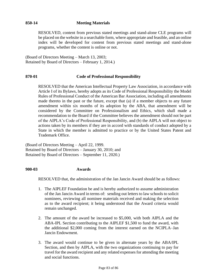# **850-14 Meeting Materials**

RESOLVED, content from previous stated meetings and stand-alone CLE programs will be placed on the website in a searchable form, where appropriate and feasible, and an online index will be developed for content from previous stated meetings and stand-alone programs, whether the content is online or not.

(Board of Directors Meeting – March 13, 2003; Retained by Board of Directors – February 1, 2014.)

# **870-01 Code of Professional Responsibility**

RESOLVED that the American Intellectual Property Law Association, in accordance with Article I of its Bylaws, hereby adopts as its Code of Professional Responsibility the Model Rules of Professional Conduct of the American Bar Association, including all amendments made thereto in the past or the future, except that (a) if a member objects to any future amendment within six months of its adoption by the ABA, that amendment will be considered by the Committee on Professionalism and Ethics, which shall made a recommendation to the Board if the Committee believes the amendment should not be part of the AIPLA's Code of Professional Responsibility, and (b) the AIPLA will not object to actions taken by its members if they are in accord with standards of conduct adopted by a State in which the member is admitted to practice or by the United States Patent and Trademark Office.

(Board of Directors Meeting – April 22, 1999. Retained by Board of Directors – January 30, 2010; and Retained by Board of Directors – September 11, 2020.)

#### **900-03 Awards**

RESOLVED that, the administration of the Jan Jancin Award should be as follows:

- 1. The AIPLEF Foundation be and is hereby authorized to assume administration of the Jan Jancin Award in terms of: sending out letters to law schools to solicit nominees, reviewing all nominee materials received and making the selection as to the award recipient; it being understood that the Award criteria would remain unchanged.
- 2. The amount of the award be increased to \$5,000, with both AIPLA and the ABA-IPL Section contributing to the AIPLEF \$1,500 to fund the award, with the additional \$2,000 coming from the interest earned on the NCIPLA–Jan Jancin Endowment.
- 3. The award would continue to be given in alternate years by the ABA/IPL Section, and then by AIPLA, with the two organizations continuing to pay for travel for the award recipient and any related expenses for attending the meeting and social functions.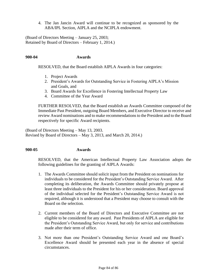4. The Jan Jancin Award will continue to be recognized as sponsored by the ABA/IPL Section, AIPLA and the NCIPLA endowment.

(Board of Directors Meeting – January 25, 2003; Retained by Board of Directors – February 1, 2014.)

#### **900-04 Awards**

RESOLVED, that the Board establish AIPLA Awards in four categories:

- 1. Project Awards
- 2. President's Awards for Outstanding Service in Fostering AIPLA's Mission and Goals, and
- 3. Board Awards for Excellence in Fostering Intellectual Property Law
- 4. Committee of the Year Award

FURTHER RESOLVED, that the Board establish an Awards Committee composed of the Immediate Past President, outgoing Board Members, and Executive Director to receive and review Award nominations and to make recommendations to the President and to the Board respectively for specific Award recipients.

(Board of Directors Meeting – May 13, 2003. Revised by Board of Directors – May 3, 2013, and March 20, 2014.)

#### **900-05 Awards**

RESOLVED, that the American Intellectual Property Law Association adopts the following guidelines for the granting of AIPLA Awards:

- 1. The Awards Committee should solicit input from the President on nominations for individuals to be considered for the President's Outstanding Service Award. After completing its deliberation, the Awards Committee should privately propose at least three individuals to the President for his or her consideration. Board approval of the individual selected for the President's Outstanding Service Award is not required, although it is understood that a President may choose to consult with the Board on the selection.
- 2. Current members of the Board of Directors and Executive Committee are not eligible to be considered for any award. Past Presidents of AIPLA are eligible for the President's Outstanding Service Award, but only for service and contributions made after their term of office.
- 3. Not more than one President's Outstanding Service Award and one Board's Excellence Award should be presented each year in the absence of special circumstances.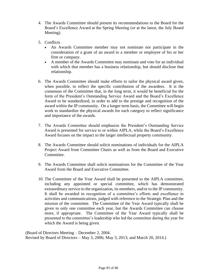- 4. The Awards Committee should present its recommendations to the Board for the Board's Excellence Award at the Spring Meeting (or at the latest, the July Board Meeting).
- 5. Conflicts
	- An Awards Committee member may not nominate nor participate in the consideration of a grant of an award to a member or employee of his or her firm or company.
	- A member of the Awards Committee may nominate and vote for an individual with which that member has a business relationship, but should disclose that relationship.
- 6. The Awards Committee should make efforts to tailor the physical award given, when possible, to reflect the specific contribution of the awardees. It is the consensus of the Committee that, in the long term, it would be beneficial for the form of the President's Outstanding Service Award and the Board's Excellence Award to be standardized, in order to add to the prestige and recognition of the award within the IP community. On a longer term basis, the Committee will begin work to standardize the physical awards for each category to reflect significance and importance of the awards.
- 7. The Awards Committee should emphasize the President's Outstanding Service Award is presented for service to or within AIPLA, while the Board's Excellence Award focuses on the impact to the larger intellectual property community.
- 8. The Awards Committee should solicit nominations of individuals for the AIPLA Project Award from Committee Chairs as well as from the Board and Executive Committee.
- 9. The Awards Committee shall solicit nominations for the Committee of the Year Award from the Board and Executive Committee.
- 10. The Committee of the Year Award shall be presented to the AIPLA committee, including any appointed or special committee, which has demonstrated extraordinary service to the organization, its members, and/or to the IP community. It shall be awarded in recognition of a committee's efforts and excellence in activities and communications, judged with reference to the Strategic Plan and the mission of the committee. The Committee of the Year Award typically shall be given to only one committee each year, but the Awards Committee can choose more, if appropriate. The Committee of the Year Award typically shall be presented to the committee's leadership who led the committee during the year for which the Award is being given.

(Board of Directors Meeting – December 2, 2004. Revised by Board of Directors – May 3, 2006; May 3, 2013; and March 20, 2014.)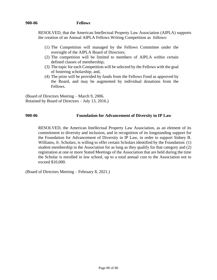#### **900-06 Fellows**

RESOLVED, that the American Intellectual Property Law Association (AIPLA) supports the creation of an Annual AIPLA Fellows Writing Competition as follows:

- (1) The Competition will managed by the Fellows Committee under the oversight of the AIPLA Board of Directors;
- (2) The competition will be limited to members of AIPLA within certain defined classes of membership;
- (3) The topic for each Competition will be selected by the Fellows with the goal of fostering scholarship; and,
- (4) The prize will be provided by funds from the Fellows Fund as approved by the Board, and may be augmented by individual donations from the Fellows.

(Board of Directors Meeting – March 9, 2006. Retained by Board of Directors – July 13, 2016.)

### **900-06 Foundation for Advancement of Diversity in IP Law**

RESOLVED, the American Intellectual Property Law Association, as an element of its commitment to diversity and inclusion, and in recognition of its longstanding support for the Foundation for Advancement of Diversity in IP Law, in order to support Sidney B. Williams, Jr. Scholars, is willing to offer certain Scholars identified by the Foundation: (1) student membership in the Association for as long as they qualify for that category and (2) registration at one or more Stated Meetings of the Association that are held during the time the Scholar is enrolled in law school, up to a total annual cost to the Association not to exceed \$10,000.

(Board of Directors Meeting – February 8, 2021.)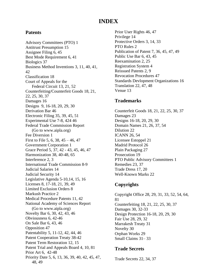# **INDEX**

# **Patents**

Advisory Committees (PTO) 1 Antitrust Presumption 15 Assignee Filing 6, 45 Best Mode Requirement 6, 41 Biologics 37 Business Method Inventions 3, 11, 40, 41, 42 Classification 18 Court of Appeals for the Federal Circuit 13, 21, 52 Counterfeiting/Counterfeit Goods 18, 21, 22, 25, 30, 37 Damages 16 Designs 9, 16-18, 20, 29, 30 Derivation Bar 46 Electronic Filing 35, 39, 45, 51 Experimental Use 7-8, 424 46 Federal Trade Commission Report (Go to www.aipla.org) Fee Diversion 1 First to File 5, 6, 38, 45 – 46, 47 Government Corporation 1 Grace Period 5, 37, 42 - 43, 45, 46, 47 Harmonization 38, 40-48, 65 Interference 2, 3 International Trade Commission 8-9 Judicial Salaries 14 Judicial Security 14 Legislative Agenda 5-10,14, 15, 16 Licenses 8, 17-18, 21, 39, 49 Limited Exclusion Orders 8 Markush Practice 2 Medical Procedure Patents 11, 42 National Academy of Sciences Report (Go to www.aipla.org) Novelty Bar 6, 30, 42, 43, 46 Obviousness 6, 42-46 On Sale Bar 6, 43, 46 Opposition 47 Patentability 5, 11-12, 42, 44, 46 Patent Cooperation Treaty 38-42 Patent Term Restoration 12, 15 Patent Trial and Appeals Board 4, 10, 81 Prior Art 6, 42-48 Priority Date 5, 6, 13, 36, 39, 40, 42, 45, 47, 48, 49

Prior User Rights 46, 47 Privilege 14 Protective Orders 3, 14, 33 PTO Rules 2 Publication of Patent 7, 36, 45, 47, 49 Public Use Bar 6, 43, 45 Reexamination 2, 25 Registration System 4 Reissued Patents 2, 9 Revocation Procedures 47 Standards Devlopment Organizations 16 Translation 22, 47, 48 Venue 13

# **Trademarks**

Counterfeit Goods 18, 21, 22, 25, 30, 37 Damages 23 Designs 16-18, 20, 29, 30 Domain Names 21, 26, 37, 54 Dilution 22 ICANN 26, 54 Licensee Estoppel 21 Madrid Protocol 26 Plain Packaging 27 Prosecution 19 PTO Public Advisory Committees 1 Remedies 23, 37 Trade Dress 17, 20 Well-Known Marks 22

# **Copyrights**

Copyright Office 28, 29, 31, 33, 52, 54, 64, 81 Counterfeiting 18, 21, 22, 25, 30, 37 Damages 30, 32-33 Design Protection 16-18, 20, 29, 30 Fair Use 28, 29, 32 Marrakesh Treaty 31 Novelty 30 Orphan Works 29 Small Claims 31– 33

# **Trade Secrets**

Trade Secrets 22, 34, 37